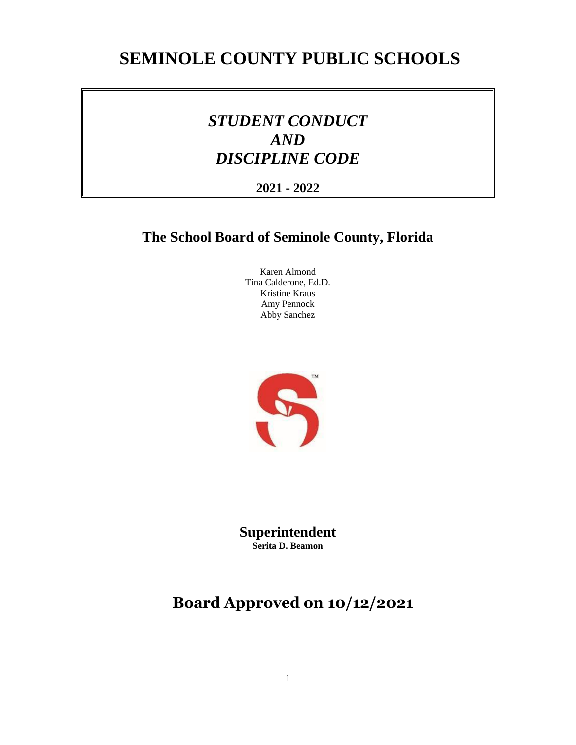# **SEMINOLE COUNTY PUBLIC SCHOOLS**

# *STUDENT CONDUCT AND DISCIPLINE CODE*

# **2021 - 2022**

# **The School Board of Seminole County, Florida**

Karen Almond Tina Calderone, Ed.D. Kristine Kraus Amy Pennock Abby Sanchez



**Superintendent Serita D. Beamon** 

# **Board Approved on 10/12/2021**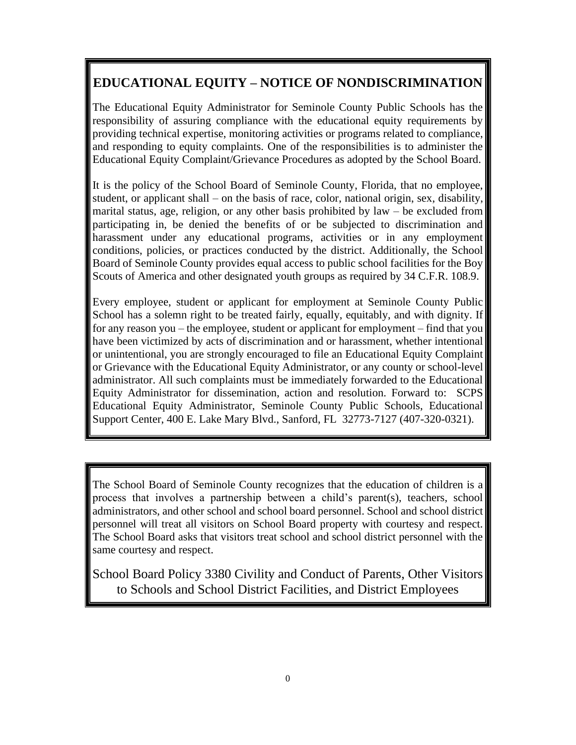# **EDUCATIONAL EQUITY – NOTICE OF NONDISCRIMINATION**

The Educational Equity Administrator for Seminole County Public Schools has the responsibility of assuring compliance with the educational equity requirements by providing technical expertise, monitoring activities or programs related to compliance, and responding to equity complaints. One of the responsibilities is to administer the Educational Equity Complaint/Grievance Procedures as adopted by the School Board.

It is the policy of the School Board of Seminole County, Florida, that no employee, student, or applicant shall – on the basis of race, color, national origin, sex, disability, marital status, age, religion, or any other basis prohibited by law – be excluded from participating in, be denied the benefits of or be subjected to discrimination and harassment under any educational programs, activities or in any employment conditions, policies, or practices conducted by the district. Additionally, the School Board of Seminole County provides equal access to public school facilities for the Boy Scouts of America and other designated youth groups as required by 34 C.F.R. 108.9.

Every employee, student or applicant for employment at Seminole County Public School has a solemn right to be treated fairly, equally, equitably, and with dignity. If for any reason you – the employee, student or applicant for employment – find that you have been victimized by acts of discrimination and or harassment, whether intentional or unintentional, you are strongly encouraged to file an Educational Equity Complaint or Grievance with the Educational Equity Administrator, or any county or school-level administrator. All such complaints must be immediately forwarded to the Educational Equity Administrator for dissemination, action and resolution. Forward to: SCPS Educational Equity Administrator, Seminole County Public Schools, Educational Support Center, 400 E. Lake Mary Blvd., Sanford, FL 32773-7127 (407-320-0321).

The School Board of Seminole County recognizes that the education of children is a process that involves a partnership between a child's parent(s), teachers, school administrators, and other school and school board personnel. School and school district personnel will treat all visitors on School Board property with courtesy and respect. The School Board asks that visitors treat school and school district personnel with the same courtesy and respect.

School Board Policy 3380 Civility and Conduct of Parents, Other Visitors to Schools and School District Facilities, and District Employees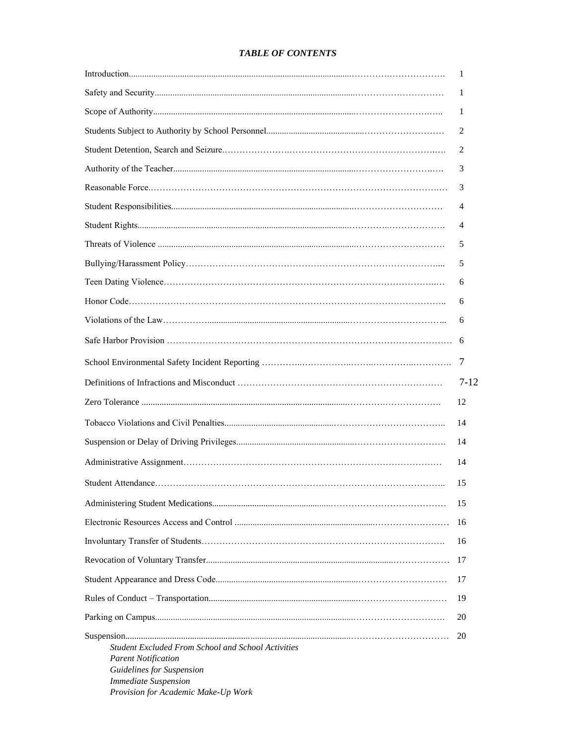# *TABLE OF CONTENTS*

|                                                                                                                                                                                            | -1             |
|--------------------------------------------------------------------------------------------------------------------------------------------------------------------------------------------|----------------|
|                                                                                                                                                                                            | 1              |
|                                                                                                                                                                                            | 1              |
|                                                                                                                                                                                            | 2              |
|                                                                                                                                                                                            | 2              |
|                                                                                                                                                                                            | 3              |
|                                                                                                                                                                                            | 3              |
|                                                                                                                                                                                            | 4              |
|                                                                                                                                                                                            | 4              |
|                                                                                                                                                                                            | 5              |
|                                                                                                                                                                                            | 5              |
|                                                                                                                                                                                            | 6              |
|                                                                                                                                                                                            | 6              |
|                                                                                                                                                                                            | 6              |
|                                                                                                                                                                                            |                |
|                                                                                                                                                                                            | $\overline{7}$ |
|                                                                                                                                                                                            | $7 - 12$       |
|                                                                                                                                                                                            | 12             |
|                                                                                                                                                                                            | 14             |
|                                                                                                                                                                                            | 14             |
|                                                                                                                                                                                            | 14             |
|                                                                                                                                                                                            | 15             |
|                                                                                                                                                                                            | 15             |
|                                                                                                                                                                                            | 16             |
|                                                                                                                                                                                            | 16             |
|                                                                                                                                                                                            | 17             |
|                                                                                                                                                                                            | 17             |
|                                                                                                                                                                                            | 19             |
|                                                                                                                                                                                            | 20             |
| <b>Student Excluded From School and School Activities</b><br><b>Parent Notification</b><br>Guidelines for Suspension<br><b>Immediate Suspension</b><br>Provision for Academic Make-Up Work | 20             |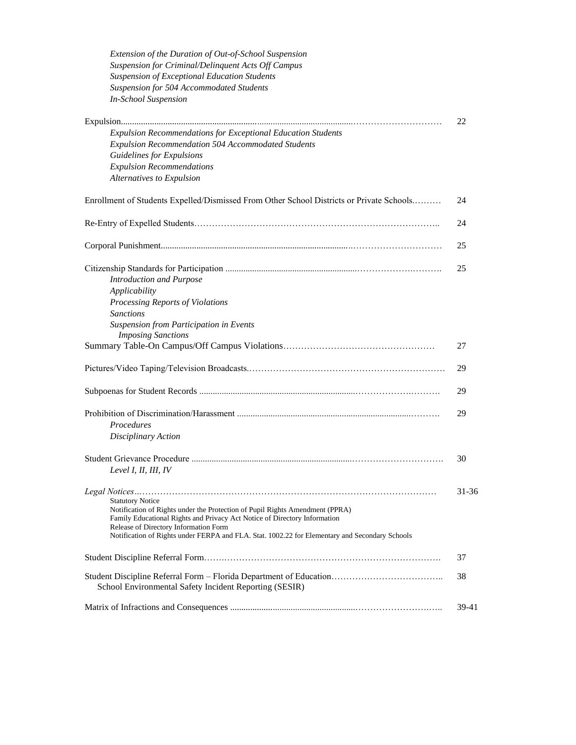| Extension of the Duration of Out-of-School Suspension                                                                                                     |       |
|-----------------------------------------------------------------------------------------------------------------------------------------------------------|-------|
| Suspension for Criminal/Delinquent Acts Off Campus                                                                                                        |       |
| Suspension of Exceptional Education Students                                                                                                              |       |
| Suspension for 504 Accommodated Students                                                                                                                  |       |
| <b>In-School Suspension</b>                                                                                                                               |       |
|                                                                                                                                                           |       |
|                                                                                                                                                           | 22    |
| Expulsion Recommendations for Exceptional Education Students                                                                                              |       |
| Expulsion Recommendation 504 Accommodated Students                                                                                                        |       |
| Guidelines for Expulsions                                                                                                                                 |       |
| <b>Expulsion Recommendations</b>                                                                                                                          |       |
| Alternatives to Expulsion                                                                                                                                 |       |
| Enrollment of Students Expelled/Dismissed From Other School Districts or Private Schools                                                                  | 24    |
|                                                                                                                                                           | 24    |
|                                                                                                                                                           | 25    |
|                                                                                                                                                           |       |
|                                                                                                                                                           | 25    |
| <b>Introduction and Purpose</b>                                                                                                                           |       |
| Applicability                                                                                                                                             |       |
| Processing Reports of Violations                                                                                                                          |       |
| <b>Sanctions</b>                                                                                                                                          |       |
| Suspension from Participation in Events                                                                                                                   |       |
| <b>Imposing Sanctions</b>                                                                                                                                 |       |
|                                                                                                                                                           | 27    |
|                                                                                                                                                           | 29    |
|                                                                                                                                                           | 29    |
|                                                                                                                                                           | 29    |
| Procedures                                                                                                                                                |       |
| Disciplinary Action                                                                                                                                       |       |
|                                                                                                                                                           |       |
|                                                                                                                                                           | 30    |
| Level I, II, III, IV                                                                                                                                      |       |
|                                                                                                                                                           | 31-36 |
| <b>Statutory Notice</b>                                                                                                                                   |       |
| Notification of Rights under the Protection of Pupil Rights Amendment (PPRA)<br>Family Educational Rights and Privacy Act Notice of Directory Information |       |
| Release of Directory Information Form                                                                                                                     |       |
| Notification of Rights under FERPA and FLA. Stat. 1002.22 for Elementary and Secondary Schools                                                            |       |
|                                                                                                                                                           | 37    |
|                                                                                                                                                           | 38    |
| School Environmental Safety Incident Reporting (SESIR)                                                                                                    |       |
|                                                                                                                                                           | 39-41 |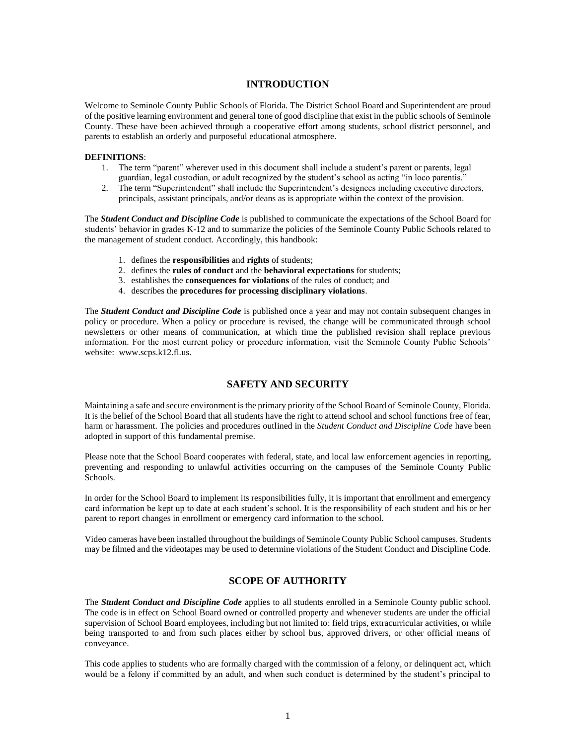#### **INTRODUCTION**

Welcome to Seminole County Public Schools of Florida. The District School Board and Superintendent are proud of the positive learning environment and general tone of good discipline that exist in the public schools of Seminole County. These have been achieved through a cooperative effort among students, school district personnel, and parents to establish an orderly and purposeful educational atmosphere.

#### **DEFINITIONS**:

- 1. The term "parent" wherever used in this document shall include a student's parent or parents, legal guardian, legal custodian, or adult recognized by the student's school as acting "in loco parentis."
- 2. The term "Superintendent" shall include the Superintendent's designees including executive directors, principals, assistant principals, and/or deans as is appropriate within the context of the provision.

The *Student Conduct and Discipline Code* is published to communicate the expectations of the School Board for students' behavior in grades K-12 and to summarize the policies of the Seminole County Public Schools related to the management of student conduct. Accordingly, this handbook:

- 1. defines the **responsibilities** and **rights** of students;
- 2. defines the **rules of conduct** and the **behavioral expectations** for students;
- 3. establishes the **consequences for violations** of the rules of conduct; and
- 4. describes the **procedures for processing disciplinary violations**.

The *Student Conduct and Discipline Code* is published once a year and may not contain subsequent changes in policy or procedure. When a policy or procedure is revised, the change will be communicated through school newsletters or other means of communication, at which time the published revision shall replace previous information. For the most current policy or procedure information, visit the Seminole County Public Schools' website: www.scps.k12.fl.us.

## **SAFETY AND SECURITY**

Maintaining a safe and secure environment is the primary priority of the School Board of Seminole County, Florida. It is the belief of the School Board that all students have the right to attend school and school functions free of fear, harm or harassment. The policies and procedures outlined in the *Student Conduct and Discipline Code* have been adopted in support of this fundamental premise.

Please note that the School Board cooperates with federal, state, and local law enforcement agencies in reporting, preventing and responding to unlawful activities occurring on the campuses of the Seminole County Public Schools.

In order for the School Board to implement its responsibilities fully, it is important that enrollment and emergency card information be kept up to date at each student's school. It is the responsibility of each student and his or her parent to report changes in enrollment or emergency card information to the school.

Video cameras have been installed throughout the buildings of Seminole County Public School campuses. Students may be filmed and the videotapes may be used to determine violations of the Student Conduct and Discipline Code.

#### **SCOPE OF AUTHORITY**

The *Student Conduct and Discipline Code* applies to all students enrolled in a Seminole County public school. The code is in effect on School Board owned or controlled property and whenever students are under the official supervision of School Board employees, including but not limited to: field trips, extracurricular activities, or while being transported to and from such places either by school bus, approved drivers, or other official means of conveyance.

This code applies to students who are formally charged with the commission of a felony, or delinquent act, which would be a felony if committed by an adult, and when such conduct is determined by the student's principal to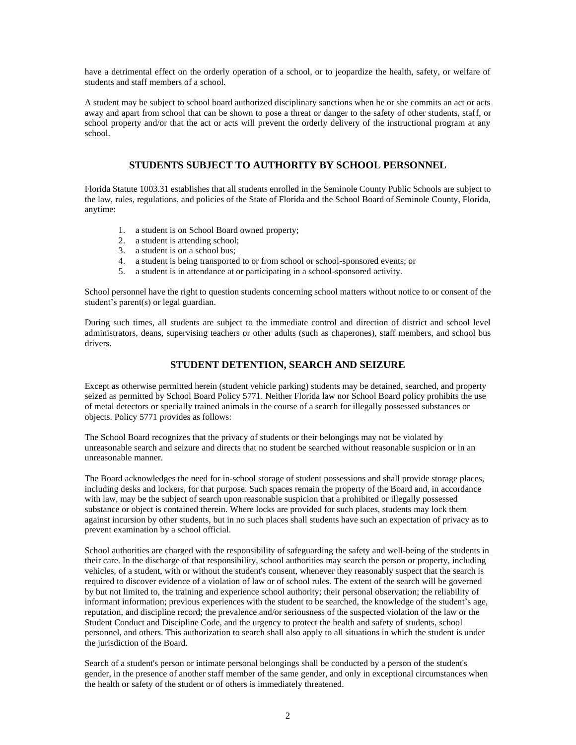have a detrimental effect on the orderly operation of a school, or to jeopardize the health, safety, or welfare of students and staff members of a school.

A student may be subject to school board authorized disciplinary sanctions when he or she commits an act or acts away and apart from school that can be shown to pose a threat or danger to the safety of other students, staff, or school property and/or that the act or acts will prevent the orderly delivery of the instructional program at any school.

## **STUDENTS SUBJECT TO AUTHORITY BY SCHOOL PERSONNEL**

Florida Statute 1003.31 establishes that all students enrolled in the Seminole County Public Schools are subject to the law, rules, regulations, and policies of the State of Florida and the School Board of Seminole County, Florida, anytime:

- 1. a student is on School Board owned property;
- 2. a student is attending school;
- 3. a student is on a school bus;
- 4. a student is being transported to or from school or school-sponsored events; or
- 5. a student is in attendance at or participating in a school-sponsored activity.

School personnel have the right to question students concerning school matters without notice to or consent of the student's parent(s) or legal guardian.

During such times, all students are subject to the immediate control and direction of district and school level administrators, deans, supervising teachers or other adults (such as chaperones), staff members, and school bus drivers.

## **STUDENT DETENTION, SEARCH AND SEIZURE**

Except as otherwise permitted herein (student vehicle parking) students may be detained, searched, and property seized as permitted by School Board Policy 5771. Neither Florida law nor School Board policy prohibits the use of metal detectors or specially trained animals in the course of a search for illegally possessed substances or objects. Policy 5771 provides as follows:

The School Board recognizes that the privacy of students or their belongings may not be violated by unreasonable search and seizure and directs that no student be searched without reasonable suspicion or in an unreasonable manner.

The Board acknowledges the need for in-school storage of student possessions and shall provide storage places, including desks and lockers, for that purpose. Such spaces remain the property of the Board and, in accordance with law, may be the subject of search upon reasonable suspicion that a prohibited or illegally possessed substance or object is contained therein. Where locks are provided for such places, students may lock them against incursion by other students, but in no such places shall students have such an expectation of privacy as to prevent examination by a school official.

School authorities are charged with the responsibility of safeguarding the safety and well-being of the students in their care. In the discharge of that responsibility, school authorities may search the person or property, including vehicles, of a student, with or without the student's consent, whenever they reasonably suspect that the search is required to discover evidence of a violation of law or of school rules. The extent of the search will be governed by but not limited to, the training and experience school authority; their personal observation; the reliability of informant information; previous experiences with the student to be searched, the knowledge of the student's age, reputation, and discipline record; the prevalence and/or seriousness of the suspected violation of the law or the Student Conduct and Discipline Code, and the urgency to protect the health and safety of students, school personnel, and others. This authorization to search shall also apply to all situations in which the student is under the jurisdiction of the Board.

Search of a student's person or intimate personal belongings shall be conducted by a person of the student's gender, in the presence of another staff member of the same gender, and only in exceptional circumstances when the health or safety of the student or of others is immediately threatened.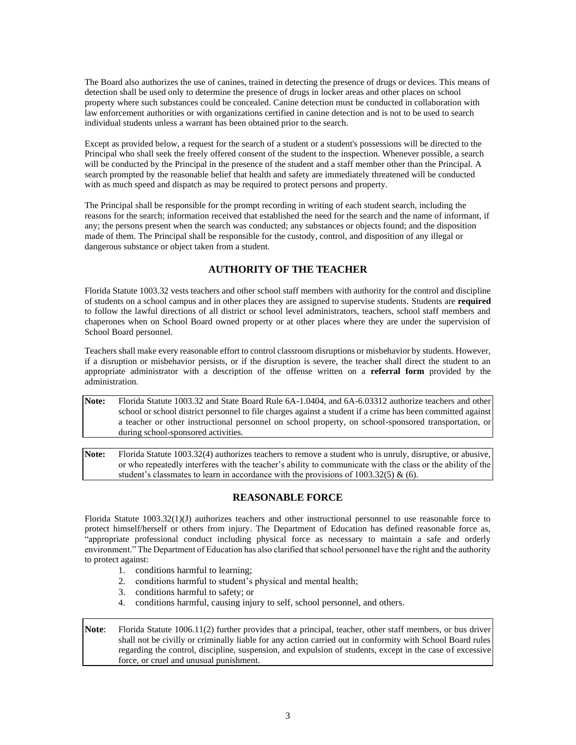The Board also authorizes the use of canines, trained in detecting the presence of drugs or devices. This means of detection shall be used only to determine the presence of drugs in locker areas and other places on school property where such substances could be concealed. Canine detection must be conducted in collaboration with law enforcement authorities or with organizations certified in canine detection and is not to be used to search individual students unless a warrant has been obtained prior to the search.

Except as provided below, a request for the search of a student or a student's possessions will be directed to the Principal who shall seek the freely offered consent of the student to the inspection. Whenever possible, a search will be conducted by the Principal in the presence of the student and a staff member other than the Principal. A search prompted by the reasonable belief that health and safety are immediately threatened will be conducted with as much speed and dispatch as may be required to protect persons and property.

The Principal shall be responsible for the prompt recording in writing of each student search, including the reasons for the search; information received that established the need for the search and the name of informant, if any; the persons present when the search was conducted; any substances or objects found; and the disposition made of them. The Principal shall be responsible for the custody, control, and disposition of any illegal or dangerous substance or object taken from a student.

# **AUTHORITY OF THE TEACHER**

Florida Statute 1003.32 vests teachers and other school staff members with authority for the control and discipline of students on a school campus and in other places they are assigned to supervise students. Students are **required** to follow the lawful directions of all district or school level administrators, teachers, school staff members and chaperones when on School Board owned property or at other places where they are under the supervision of School Board personnel.

Teachers shall make every reasonable effort to control classroom disruptions or misbehavior by students. However, if a disruption or misbehavior persists, or if the disruption is severe, the teacher shall direct the student to an appropriate administrator with a description of the offense written on a **referral form** provided by the administration.

**Note:** Florida Statute 1003.32 and State Board Rule 6A-1.0404, and 6A-6.03312 authorize teachers and other school or school district personnel to file charges against a student if a crime has been committed against a teacher or other instructional personnel on school property, on school-sponsored transportation, or during school-sponsored activities.

**Note:** Florida Statute 1003.32(4) authorizes teachers to remove a student who is unruly, disruptive, or abusive, or who repeatedly interferes with the teacher's ability to communicate with the class or the ability of the student's classmates to learn in accordance with the provisions of  $1003.32(5)$  & (6).

# **REASONABLE FORCE**

Florida Statute 1003.32(1)(J) authorizes teachers and other instructional personnel to use reasonable force to protect himself/herself or others from injury. The Department of Education has defined reasonable force as, "appropriate professional conduct including physical force as necessary to maintain a safe and orderly environment." The Department of Education has also clarified that school personnel have the right and the authority to protect against:

- 1. conditions harmful to learning;
- 2. conditions harmful to student's physical and mental health;
- 3. conditions harmful to safety; or
- 4. conditions harmful, causing injury to self, school personnel, and others.

**Note**: Florida Statute 1006.11(2) further provides that a principal, teacher, other staff members, or bus driver shall not be civilly or criminally liable for any action carried out in conformity with School Board rules regarding the control, discipline, suspension, and expulsion of students, except in the case of excessive force, or cruel and unusual punishment.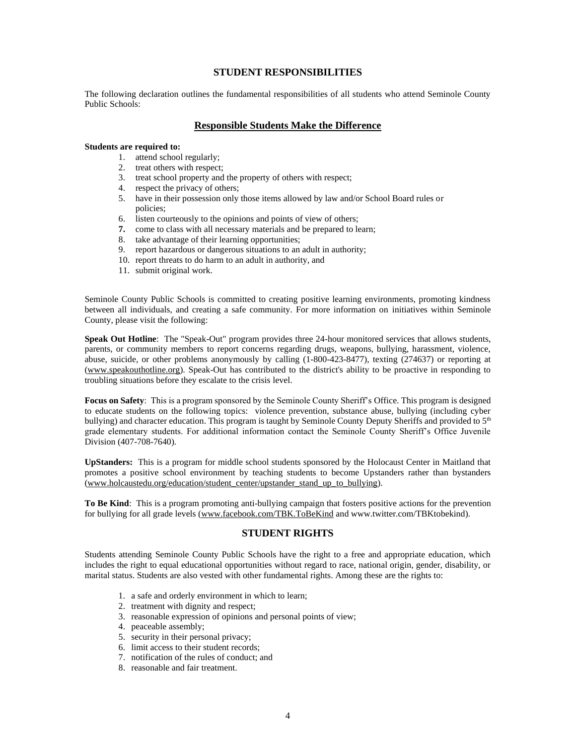#### **STUDENT RESPONSIBILITIES**

The following declaration outlines the fundamental responsibilities of all students who attend Seminole County Public Schools:

#### **Responsible Students Make the Difference**

#### **Students are required to:**

- 1. attend school regularly;
- 2. treat others with respect;
- 3. treat school property and the property of others with respect;
- 4. respect the privacy of others;
- 5. have in their possession only those items allowed by law and/or School Board rules or policies;
- 6. listen courteously to the opinions and points of view of others;
- **7.** come to class with all necessary materials and be prepared to learn;
- 8. take advantage of their learning opportunities;
- 9. report hazardous or dangerous situations to an adult in authority;
- 10. report threats to do harm to an adult in authority, and
- 11. submit original work.

Seminole County Public Schools is committed to creating positive learning environments, promoting kindness between all individuals, and creating a safe community. For more information on initiatives within Seminole County, please visit the following:

**Speak Out Hotline**: The "Speak-Out" program provides three 24-hour monitored services that allows students, parents, or community members to report concerns regarding drugs, weapons, bullying, harassment, violence, abuse, suicide, or other problems anonymously by calling (1-800-423-8477), texting (274637) or reporting at [\(www.speakouthotline.org\)](http://www.speakouthotline.org/). Speak-Out has contributed to the district's ability to be proactive in responding to troubling situations before they escalate to the crisis level.

**Focus on Safety**: This is a program sponsored by the Seminole County Sheriff's Office. This program is designed to educate students on the following topics: violence prevention, substance abuse, bullying (including cyber bullying) and character education. This program is taught by Seminole County Deputy Sheriffs and provided to 5<sup>th</sup> grade elementary students. For additional information contact the Seminole County Sheriff's Office Juvenile Division (407-708-7640).

**UpStanders:** This is a program for middle school students sponsored by the Holocaust Center in Maitland that promotes a positive school environment by teaching students to become Upstanders rather than bystanders [\(www.holcaustedu.org/education/student\\_center/upstander\\_stand\\_up\\_to\\_bullying\)](http://www.holcaustedu.org/education/student_center/upstander_stand_up_to_bullying).

**To Be Kind**: This is a program promoting anti-bullying campaign that fosters positive actions for the prevention for bullying for all grade levels [\(www.facebook.com/TBK.ToBeKind](http://www.facebook.com/TBK.ToBeKind) and www.twitter.com/TBKtobekind).

## **STUDENT RIGHTS**

Students attending Seminole County Public Schools have the right to a free and appropriate education, which includes the right to equal educational opportunities without regard to race, national origin, gender, disability, or marital status. Students are also vested with other fundamental rights. Among these are the rights to:

- 1. a safe and orderly environment in which to learn;
- 2. treatment with dignity and respect;
- 3. reasonable expression of opinions and personal points of view;
- 4. peaceable assembly;
- 5. security in their personal privacy;
- 6. limit access to their student records;
- 7. notification of the rules of conduct; and
- 8. reasonable and fair treatment.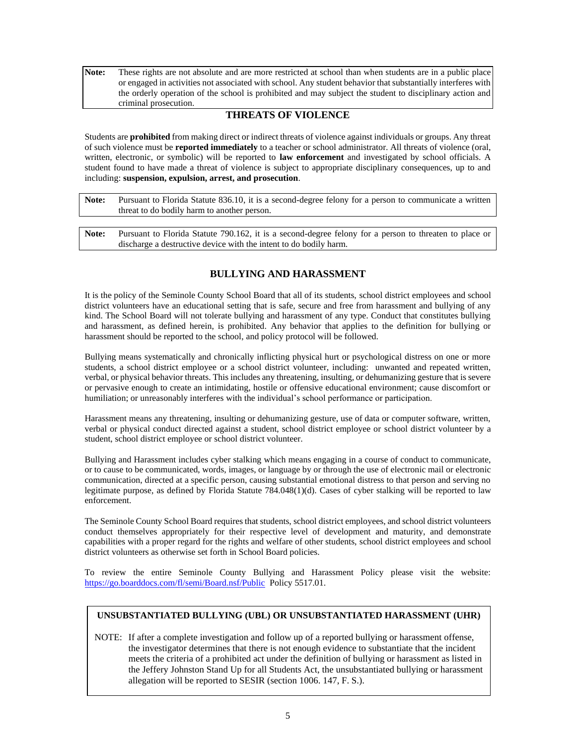**Note:** These rights are not absolute and are more restricted at school than when students are in a public place or engaged in activities not associated with school. Any student behavior that substantially interferes with the orderly operation of the school is prohibited and may subject the student to disciplinary action and criminal prosecution.

# **THREATS OF VIOLENCE**

Students are **prohibited** from making direct or indirect threats of violence against individuals or groups. Any threat of such violence must be **reported immediately** to a teacher or school administrator. All threats of violence (oral, written, electronic, or symbolic) will be reported to **law enforcement** and investigated by school officials. A student found to have made a threat of violence is subject to appropriate disciplinary consequences, up to and including: **suspension, expulsion, arrest, and prosecution**.

| Note: | Pursuant to Florida Statute 836.10, it is a second-degree felony for a person to communicate a written |
|-------|--------------------------------------------------------------------------------------------------------|
|       | threat to do bodily harm to another person.                                                            |

**Note:** Pursuant to Florida Statute 790.162, it is a second-degree felony for a person to threaten to place or discharge a destructive device with the intent to do bodily harm.

# **BULLYING AND HARASSMENT**

It is the policy of the Seminole County School Board that all of its students, school district employees and school district volunteers have an educational setting that is safe, secure and free from harassment and bullying of any kind. The School Board will not tolerate bullying and harassment of any type. Conduct that constitutes bullying and harassment, as defined herein, is prohibited. Any behavior that applies to the definition for bullying or harassment should be reported to the school, and policy protocol will be followed.

Bullying means systematically and chronically inflicting physical hurt or psychological distress on one or more students, a school district employee or a school district volunteer, including: unwanted and repeated written, verbal, or physical behavior threats. This includes any threatening, insulting, or dehumanizing gesture that is severe or pervasive enough to create an intimidating, hostile or offensive educational environment; cause discomfort or humiliation; or unreasonably interferes with the individual's school performance or participation.

Harassment means any threatening, insulting or dehumanizing gesture, use of data or computer software, written, verbal or physical conduct directed against a student, school district employee or school district volunteer by a student, school district employee or school district volunteer.

Bullying and Harassment includes cyber stalking which means engaging in a course of conduct to communicate, or to cause to be communicated, words, images, or language by or through the use of electronic mail or electronic communication, directed at a specific person, causing substantial emotional distress to that person and serving no legitimate purpose, as defined by Florida Statute 784.048(1)(d). Cases of cyber stalking will be reported to law enforcement.

The Seminole County School Board requires that students, school district employees, and school district volunteers conduct themselves appropriately for their respective level of development and maturity, and demonstrate capabilities with a proper regard for the rights and welfare of other students, school district employees and school district volunteers as otherwise set forth in School Board policies.

To review the entire Seminole County Bullying and Harassment Policy please visit the website: <https://go.boarddocs.com/fl/semi/Board.nsf/Public> Policy 5517.01.

#### **UNSUBSTANTIATED BULLYING (UBL) OR UNSUBSTANTIATED HARASSMENT (UHR)**

NOTE: If after a complete investigation and follow up of a reported bullying or harassment offense, the investigator determines that there is not enough evidence to substantiate that the incident meets the criteria of a prohibited act under the definition of bullying or harassment as listed in the Jeffery Johnston Stand Up for all Students Act, the unsubstantiated bullying or harassment allegation will be reported to SESIR (section 1006. 147, F. S.).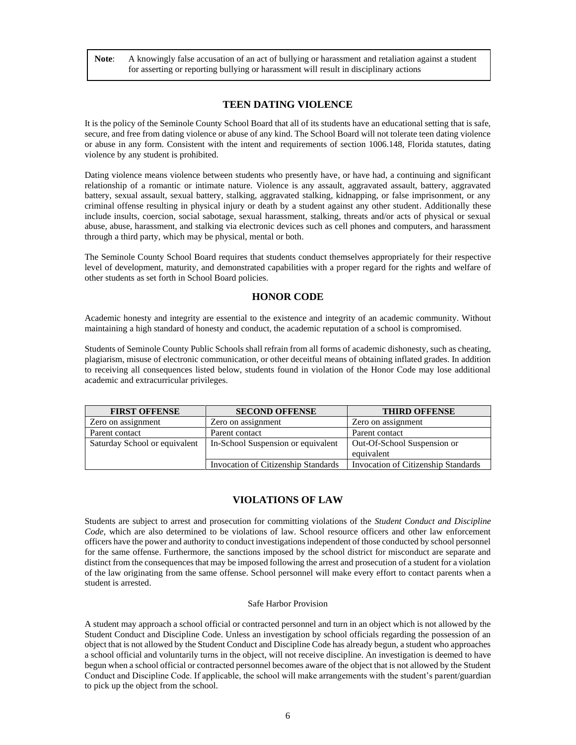**Note**: A knowingly false accusation of an act of bullying or harassment and retaliation against a student for asserting or reporting bullying or harassment will result in disciplinary actions

#### **TEEN DATING VIOLENCE**

It is the policy of the Seminole County School Board that all of its students have an educational setting that is safe, secure, and free from dating violence or abuse of any kind. The School Board will not tolerate teen dating violence or abuse in any form. Consistent with the intent and requirements of section 1006.148, Florida statutes, dating violence by any student is prohibited.

Dating violence means violence between students who presently have, or have had, a continuing and significant relationship of a romantic or intimate nature. Violence is any assault, aggravated assault, battery, aggravated battery, sexual assault, sexual battery, stalking, aggravated stalking, kidnapping, or false imprisonment, or any criminal offense resulting in physical injury or death by a student against any other student. Additionally these include insults, coercion, social sabotage, sexual harassment, stalking, threats and/or acts of physical or sexual abuse, abuse, harassment, and stalking via electronic devices such as cell phones and computers, and harassment through a third party, which may be physical, mental or both.

The Seminole County School Board requires that students conduct themselves appropriately for their respective level of development, maturity, and demonstrated capabilities with a proper regard for the rights and welfare of other students as set forth in School Board policies.

#### **HONOR CODE**

Academic honesty and integrity are essential to the existence and integrity of an academic community. Without maintaining a high standard of honesty and conduct, the academic reputation of a school is compromised.

Students of Seminole County Public Schools shall refrain from all forms of academic dishonesty, such as cheating, plagiarism, misuse of electronic communication, or other deceitful means of obtaining inflated grades. In addition to receiving all consequences listed below, students found in violation of the Honor Code may lose additional academic and extracurricular privileges.

| <b>FIRST OFFENSE</b>          | <b>SECOND OFFENSE</b>               | <b>THIRD OFFENSE</b>                |
|-------------------------------|-------------------------------------|-------------------------------------|
| Zero on assignment            | Zero on assignment                  | Zero on assignment                  |
| Parent contact                | Parent contact                      | Parent contact                      |
| Saturday School or equivalent | In-School Suspension or equivalent  | Out-Of-School Suspension or         |
|                               |                                     | equivalent                          |
|                               | Invocation of Citizenship Standards | Invocation of Citizenship Standards |

#### **VIOLATIONS OF LAW**

Students are subject to arrest and prosecution for committing violations of the *Student Conduct and Discipline Code*, which are also determined to be violations of law. School resource officers and other law enforcement officers have the power and authority to conduct investigations independent of those conducted by school personnel for the same offense. Furthermore, the sanctions imposed by the school district for misconduct are separate and distinct from the consequences that may be imposed following the arrest and prosecution of a student for a violation of the law originating from the same offense. School personnel will make every effort to contact parents when a student is arrested.

#### Safe Harbor Provision

A student may approach a school official or contracted personnel and turn in an object which is not allowed by the Student Conduct and Discipline Code. Unless an investigation by school officials regarding the possession of an object that is not allowed by the Student Conduct and Discipline Code has already begun, a student who approaches a school official and voluntarily turns in the object, will not receive discipline. An investigation is deemed to have begun when a school official or contracted personnel becomes aware of the object that is not allowed by the Student Conduct and Discipline Code. If applicable, the school will make arrangements with the student's parent/guardian to pick up the object from the school.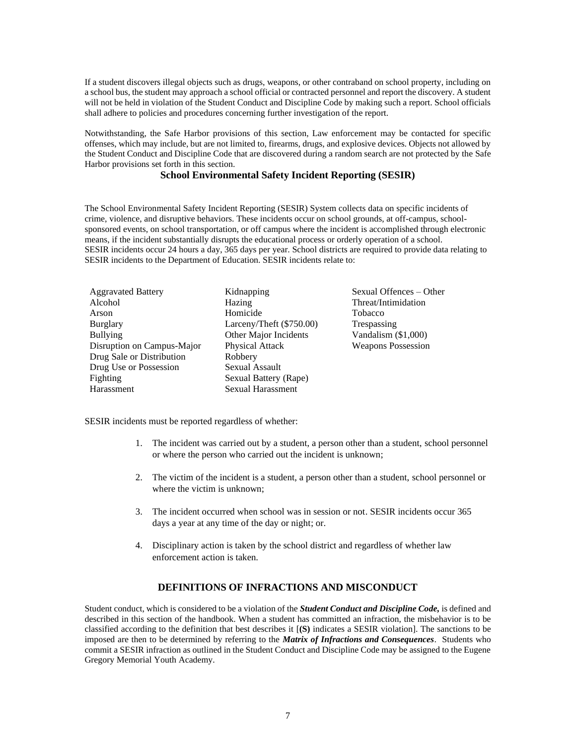If a student discovers illegal objects such as drugs, weapons, or other contraband on school property, including on a school bus, the student may approach a school official or contracted personnel and report the discovery. A student will not be held in violation of the Student Conduct and Discipline Code by making such a report. School officials shall adhere to policies and procedures concerning further investigation of the report.

Notwithstanding, the Safe Harbor provisions of this section, Law enforcement may be contacted for specific offenses, which may include, but are not limited to, firearms, drugs, and explosive devices. Objects not allowed by the Student Conduct and Discipline Code that are discovered during a random search are not protected by the Safe Harbor provisions set forth in this section.

#### **School Environmental Safety Incident Reporting (SESIR)**

The School Environmental Safety Incident Reporting (SESIR) System collects data on specific incidents of crime, violence, and disruptive behaviors. These incidents occur on school grounds, at off-campus, schoolsponsored events, on school transportation, or off campus where the incident is accomplished through electronic means, if the incident substantially disrupts the educational process or orderly operation of a school. SESIR incidents occur 24 hours a day, 365 days per year. School districts are required to provide data relating to SESIR incidents to the Department of Education. SESIR incidents relate to:

| <b>Aggravated Battery</b>  | Kidnapping               | Sexual Offences – Other   |
|----------------------------|--------------------------|---------------------------|
| Alcohol                    | Hazing                   | Threat/Intimidation       |
| Arson                      | Homicide                 | <b>Tobacco</b>            |
| <b>Burglary</b>            | Larceny/Theft (\$750.00) | Trespassing               |
| <b>Bullying</b>            | Other Major Incidents    | Vandalism $(\$1,000)$     |
| Disruption on Campus-Major | <b>Physical Attack</b>   | <b>Weapons Possession</b> |
| Drug Sale or Distribution  | Robbery                  |                           |
| Drug Use or Possession     | <b>Sexual Assault</b>    |                           |
| Fighting                   | Sexual Battery (Rape)    |                           |
| Harassment                 | <b>Sexual Harassment</b> |                           |

SESIR incidents must be reported regardless of whether:

- 1. The incident was carried out by a student, a person other than a student, school personnel or where the person who carried out the incident is unknown;
- 2. The victim of the incident is a student, a person other than a student, school personnel or where the victim is unknown;
- 3. The incident occurred when school was in session or not. SESIR incidents occur 365 days a year at any time of the day or night; or.
- 4. Disciplinary action is taken by the school district and regardless of whether law enforcement action is taken.

# **DEFINITIONS OF INFRACTIONS AND MISCONDUCT**

Student conduct, which is considered to be a violation of the *Student Conduct and Discipline Code,* is defined and described in this section of the handbook. When a student has committed an infraction, the misbehavior is to be classified according to the definition that best describes it [**(S)** indicates a SESIR violation]. The sanctions to be imposed are then to be determined by referring to the *Matrix of Infractions and Consequences*. Students who commit a SESIR infraction as outlined in the Student Conduct and Discipline Code may be assigned to the Eugene Gregory Memorial Youth Academy.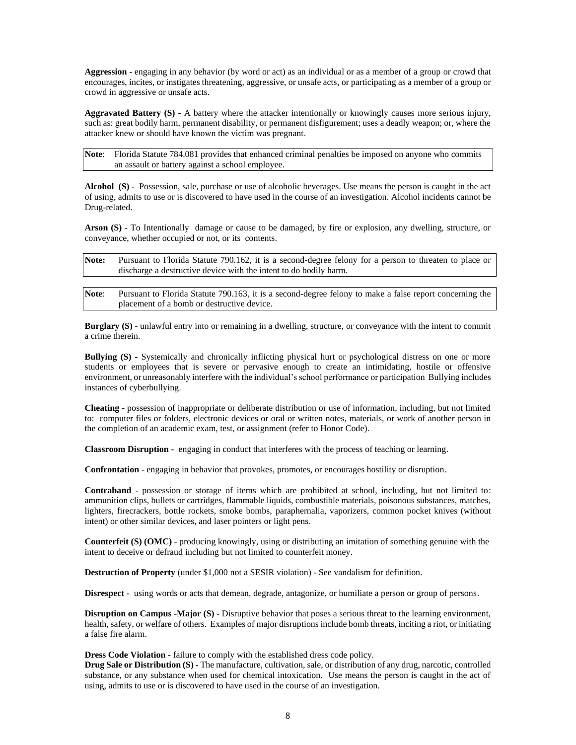**Aggression -** engaging in any behavior (by word or act) as an individual or as a member of a group or crowd that encourages, incites, or instigates threatening, aggressive, or unsafe acts, or participating as a member of a group or crowd in aggressive or unsafe acts.

**Aggravated Battery (S) -** A battery where the attacker intentionally or knowingly causes more serious injury, such as: great bodily harm, permanent disability, or permanent disfigurement; uses a deadly weapon; or, where the attacker knew or should have known the victim was pregnant.

Note: Florida Statute 784.081 provides that enhanced criminal penalties be imposed on anyone who commits an assault or battery against a school employee.

**Alcohol (S)** - Possession, sale, purchase or use of alcoholic beverages. Use means the person is caught in the act of using, admits to use or is discovered to have used in the course of an investigation. Alcohol incidents cannot be Drug-related.

**Arson (S)** - To Intentionally damage or cause to be damaged, by fire or explosion, any dwelling, structure, or conveyance, whether occupied or not, or its contents.

| Note: | Pursuant to Florida Statute 790.162, it is a second-degree felony for a person to threaten to place or |
|-------|--------------------------------------------------------------------------------------------------------|
|       | discharge a destructive device with the intent to do bodily harm.                                      |
|       |                                                                                                        |

**Note**: Pursuant to Florida Statute 790.163, it is a second-degree felony to make a false report concerning the placement of a bomb or destructive device.

**Burglary (S)** - unlawful entry into or remaining in a dwelling, structure, or conveyance with the intent to commit a crime therein.

**Bullying (S) -** Systemically and chronically inflicting physical hurt or psychological distress on one or more students or employees that is severe or pervasive enough to create an intimidating, hostile or offensive environment, or unreasonably interfere with the individual's school performance or participation Bullying includes instances of cyberbullying.

**Cheating** - possession of inappropriate or deliberate distribution or use of information, including, but not limited to: computer files or folders, electronic devices or oral or written notes, materials, or work of another person in the completion of an academic exam, test, or assignment (refer to Honor Code).

**Classroom Disruption** - engaging in conduct that interferes with the process of teaching or learning.

**Confrontation** - engaging in behavior that provokes, promotes, or encourages hostility or disruption.

**Contraband** - possession or storage of items which are prohibited at school, including, but not limited to: ammunition clips, bullets or cartridges, flammable liquids, combustible materials, poisonous substances, matches, lighters, firecrackers, bottle rockets, smoke bombs, paraphernalia, vaporizers, common pocket knives (without intent) or other similar devices, and laser pointers or light pens.

**Counterfeit (S) (OMC)** - producing knowingly, using or distributing an imitation of something genuine with the intent to deceive or defraud including but not limited to counterfeit money.

**Destruction of Property** (under \$1,000 not a SESIR violation) - See vandalism for definition.

**Disrespect** - using words or acts that demean, degrade, antagonize, or humiliate a person or group of persons.

**Disruption on Campus -Major (S) -** Disruptive behavior that poses a serious threat to the learning environment, health, safety, or welfare of others. Examples of major disruptions include bomb threats, inciting a riot, or initiating a false fire alarm.

**Dress Code Violation** - failure to comply with the established dress code policy.

**Drug Sale or Distribution (S) -** The manufacture, cultivation, sale, or distribution of any drug, narcotic, controlled substance, or any substance when used for chemical intoxication. Use means the person is caught in the act of using, admits to use or is discovered to have used in the course of an investigation.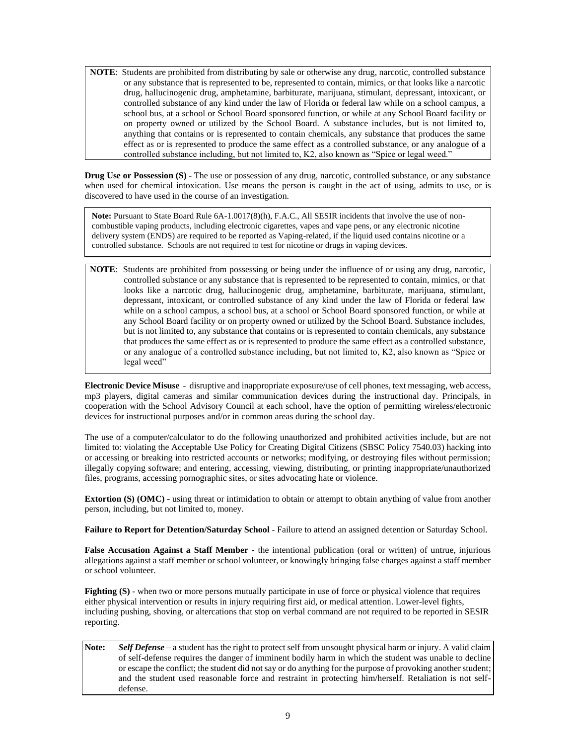**NOTE**: Students are prohibited from distributing by sale or otherwise any drug, narcotic, controlled substance or any substance that is represented to be, represented to contain, mimics, or that looks like a narcotic drug, hallucinogenic drug, amphetamine, barbiturate, marijuana, stimulant, depressant, intoxicant, or controlled substance of any kind under the law of Florida or federal law while on a school campus, a school bus, at a school or School Board sponsored function, or while at any School Board facility or on property owned or utilized by the School Board. A substance includes, but is not limited to, anything that contains or is represented to contain chemicals, any substance that produces the same effect as or is represented to produce the same effect as a controlled substance, or any analogue of a controlled substance including, but not limited to, K2, also known as "Spice or legal weed."

**Drug Use or Possession (S) -** The use or possession of any drug, narcotic, controlled substance, or any substance when used for chemical intoxication. Use means the person is caught in the act of using, admits to use, or is discovered to have used in the course of an investigation.

**Note:** Pursuant to State Board Rule 6A-1.0017(8)(h), F.A.C., All SESIR incidents that involve the use of noncombustible vaping products, including electronic cigarettes, vapes and vape pens, or any electronic nicotine delivery system (ENDS) are required to be reported as Vaping-related, if the liquid used contains nicotine or a controlled substance. Schools are not required to test for nicotine or drugs in vaping devices.

**NOTE**: Students are prohibited from possessing or being under the influence of or using any drug, narcotic, controlled substance or any substance that is represented to be represented to contain, mimics, or that looks like a narcotic drug, hallucinogenic drug, amphetamine, barbiturate, marijuana, stimulant, depressant, intoxicant, or controlled substance of any kind under the law of Florida or federal law while on a school campus, a school bus, at a school or School Board sponsored function, or while at any School Board facility or on property owned or utilized by the School Board. Substance includes, but is not limited to, any substance that contains or is represented to contain chemicals, any substance that produces the same effect as or is represented to produce the same effect as a controlled substance, or any analogue of a controlled substance including, but not limited to, K2, also known as "Spice or legal weed"

**Electronic Device Misuse** - disruptive and inappropriate exposure/use of cell phones, text messaging, web access, mp3 players, digital cameras and similar communication devices during the instructional day. Principals, in cooperation with the School Advisory Council at each school, have the option of permitting wireless/electronic devices for instructional purposes and/or in common areas during the school day.

The use of a computer/calculator to do the following unauthorized and prohibited activities include, but are not limited to: violating the Acceptable Use Policy for Creating Digital Citizens (SBSC Policy 7540.03) hacking into or accessing or breaking into restricted accounts or networks; modifying, or destroying files without permission; illegally copying software; and entering, accessing, viewing, distributing, or printing inappropriate/unauthorized files, programs, accessing pornographic sites, or sites advocating hate or violence.

**Extortion (S) (OMC)** - using threat or intimidation to obtain or attempt to obtain anything of value from another person, including, but not limited to, money.

**Failure to Report for Detention/Saturday School** - Failure to attend an assigned detention or Saturday School.

**False Accusation Against a Staff Member -** the intentional publication (oral or written) of untrue, injurious allegations against a staff member or school volunteer, or knowingly bringing false charges against a staff member or school volunteer.

**Fighting (S)** - when two or more persons mutually participate in use of force or physical violence that requires either physical intervention or results in injury requiring first aid, or medical attention. Lower-level fights, including pushing, shoving, or altercations that stop on verbal command are not required to be reported in SESIR reporting.

**Note:** *Self Defense* – a student has the right to protect self from unsought physical harm or injury. A valid claim of self-defense requires the danger of imminent bodily harm in which the student was unable to decline or escape the conflict; the student did not say or do anything for the purpose of provoking another student; and the student used reasonable force and restraint in protecting him/herself. Retaliation is not selfdefense.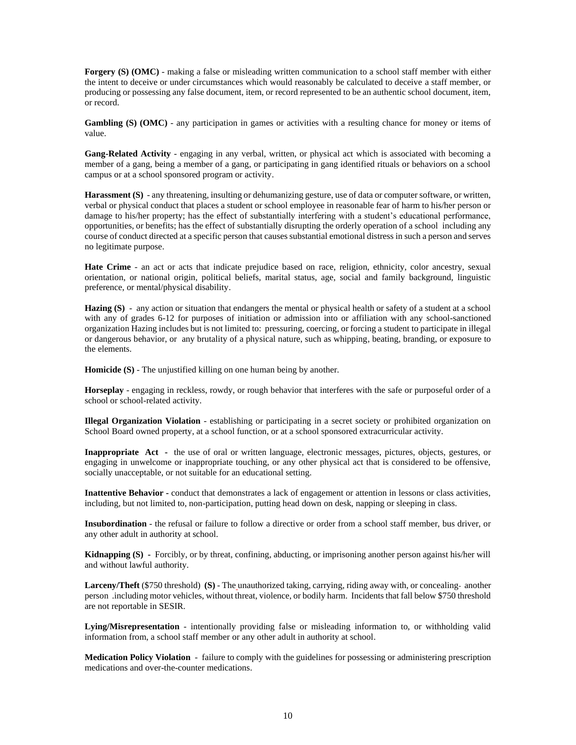**Forgery (S) (OMC)** - making a false or misleading written communication to a school staff member with either the intent to deceive or under circumstances which would reasonably be calculated to deceive a staff member, or producing or possessing any false document, item, or record represented to be an authentic school document, item, or record.

**Gambling (S) (OMC)** - any participation in games or activities with a resulting chance for money or items of value.

**Gang-Related Activity** - engaging in any verbal, written, or physical act which is associated with becoming a member of a gang, being a member of a gang, or participating in gang identified rituals or behaviors on a school campus or at a school sponsored program or activity.

**Harassment (S)** - any threatening, insulting or dehumanizing gesture, use of data or computer software, or written, verbal or physical conduct that places a student or school employee in reasonable fear of harm to his/her person or damage to his/her property; has the effect of substantially interfering with a student's educational performance, opportunities, or benefits; has the effect of substantially disrupting the orderly operation of a school including any course of conduct directed at a specific person that causes substantial emotional distress in such a person and serves no legitimate purpose.

**Hate Crime** - an act or acts that indicate prejudice based on race, religion, ethnicity, color ancestry, sexual orientation, or national origin, political beliefs, marital status, age, social and family background, linguistic preference, or mental/physical disability.

**Hazing (S)** - any action or situation that endangers the mental or physical health or safety of a student at a school with any of grades 6-12 for purposes of initiation or admission into or affiliation with any school-sanctioned organization Hazing includes but is not limited to: pressuring, coercing, or forcing a student to participate in illegal or dangerous behavior, or any brutality of a physical nature, such as whipping, beating, branding, or exposure to the elements.

**Homicide** (S) - The unjustified killing on one human being by another.

**Horseplay** - engaging in reckless, rowdy, or rough behavior that interferes with the safe or purposeful order of a school or school-related activity.

**Illegal Organization Violation** - establishing or participating in a secret society or prohibited organization on School Board owned property, at a school function, or at a school sponsored extracurricular activity.

**Inappropriate Act** - the use of oral or written language, electronic messages, pictures, objects, gestures, or engaging in unwelcome or inappropriate touching, or any other physical act that is considered to be offensive, socially unacceptable, or not suitable for an educational setting.

**Inattentive Behavior -** conduct that demonstrates a lack of engagement or attention in lessons or class activities, including, but not limited to, non-participation, putting head down on desk, napping or sleeping in class.

**Insubordination** - the refusal or failure to follow a directive or order from a school staff member, bus driver, or any other adult in authority at school.

**Kidnapping (S) -** Forcibly, or by threat, confining, abducting, or imprisoning another person against his/her will and without lawful authority.

**Larceny/Theft** (\$750 threshold) **(S)** - The unauthorized taking, carrying, riding away with, or concealing another person .including motor vehicles, without threat, violence, or bodily harm. Incidents that fall below \$750 threshold are not reportable in SESIR.

**Lying/Misrepresentation** - intentionally providing false or misleading information to, or withholding valid information from, a school staff member or any other adult in authority at school.

**Medication Policy Violation** - failure to comply with the guidelines for possessing or administering prescription medications and over-the-counter medications.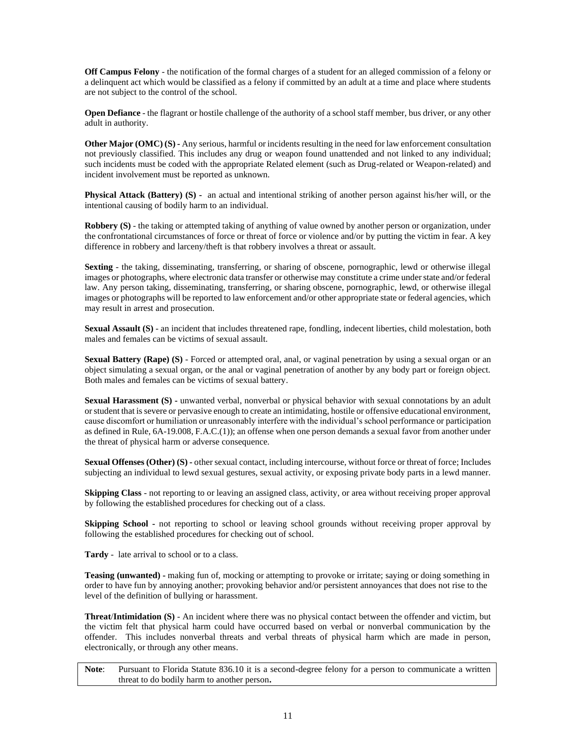**Off Campus Felony** - the notification of the formal charges of a student for an alleged commission of a felony or a delinquent act which would be classified as a felony if committed by an adult at a time and place where students are not subject to the control of the school.

**Open Defiance** - the flagrant or hostile challenge of the authority of a school staff member, bus driver, or any other adult in authority.

**Other Major (OMC) (S) -** Any serious, harmful or incidents resulting in the need for law enforcement consultation not previously classified. This includes any drug or weapon found unattended and not linked to any individual; such incidents must be coded with the appropriate Related element (such as Drug-related or Weapon-related) and incident involvement must be reported as unknown.

**Physical Attack (Battery) (S) -** an actual and intentional striking of another person against his/her will, or the intentional causing of bodily harm to an individual.

**Robbery (S)** - the taking or attempted taking of anything of value owned by another person or organization, under the confrontational circumstances of force or threat of force or violence and/or by putting the victim in fear. A key difference in robbery and larceny/theft is that robbery involves a threat or assault.

**Sexting** - the taking, disseminating, transferring, or sharing of obscene, pornographic, lewd or otherwise illegal images or photographs, where electronic data transfer or otherwise may constitute a crime under state and/or federal law. Any person taking, disseminating, transferring, or sharing obscene, pornographic, lewd, or otherwise illegal images or photographs will be reported to law enforcement and/or other appropriate state or federal agencies, which may result in arrest and prosecution.

**Sexual Assault (S)** - an incident that includes threatened rape, fondling, indecent liberties, child molestation, both males and females can be victims of sexual assault.

**Sexual Battery (Rape) (S)** - Forced or attempted oral, anal, or vaginal penetration by using a sexual organ or an object simulating a sexual organ, or the anal or vaginal penetration of another by any body part or foreign object. Both males and females can be victims of sexual battery.

**Sexual Harassment (S) -** unwanted verbal, nonverbal or physical behavior with sexual connotations by an adult or student that is severe or pervasive enough to create an intimidating, hostile or offensive educational environment, cause discomfort or humiliation or unreasonably interfere with the individual's school performance or participation as defined in Rule, 6A-19.008, F.A.C.(1)); an offense when one person demands a sexual favor from another under the threat of physical harm or adverse consequence.

**Sexual Offenses (Other) (S) -** other sexual contact, including intercourse, without force or threat of force; Includes subjecting an individual to lewd sexual gestures, sexual activity, or exposing private body parts in a lewd manner.

**Skipping Class** - not reporting to or leaving an assigned class, activity, or area without receiving proper approval by following the established procedures for checking out of a class.

**Skipping School -** not reporting to school or leaving school grounds without receiving proper approval by following the established procedures for checking out of school.

**Tardy** - late arrival to school or to a class.

**Teasing (unwanted) -** making fun of, mocking or attempting to provoke or irritate; saying or doing something in order to have fun by annoying another; provoking behavior and/or persistent annoyances that does not rise to the level of the definition of bullying or harassment.

**Threat**/**Intimidation (S)** - An incident where there was no physical contact between the offender and victim, but the victim felt that physical harm could have occurred based on verbal or nonverbal communication by the offender. This includes nonverbal threats and verbal threats of physical harm which are made in person, electronically, or through any other means.

**Note**: Pursuant to Florida Statute 836.10 it is a second-degree felony for a person to communicate a written threat to do bodily harm to another person**.**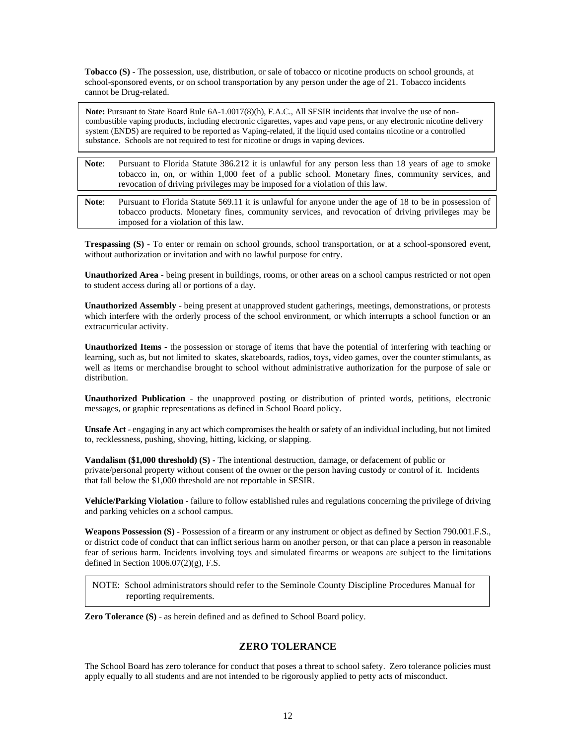**Tobacco (S)** - The possession, use, distribution, or sale of tobacco or nicotine products on school grounds, at school-sponsored events, or on school transportation by any person under the age of 21. Tobacco incidents cannot be Drug-related.

**Note:** Pursuant to State Board Rule 6A-1.0017(8)(h), F.A.C., All SESIR incidents that involve the use of noncombustible vaping products, including electronic cigarettes, vapes and vape pens, or any electronic nicotine delivery system (ENDS) are required to be reported as Vaping-related, if the liquid used contains nicotine or a controlled substance. Schools are not required to test for nicotine or drugs in vaping devices.

- **Note**: Pursuant to Florida Statute 386.212 it is unlawful for any person less than 18 years of age to smoke tobacco in, on, or within 1,000 feet of a public school. Monetary fines, community services, and revocation of driving privileges may be imposed for a violation of this law.
- **Note**: Pursuant to Florida Statute 569.11 it is unlawful for anyone under the age of 18 to be in possession of tobacco products. Monetary fines, community services, and revocation of driving privileges may be imposed for a violation of this law.

**Trespassing (S)** - To enter or remain on school grounds, school transportation, or at a school-sponsored event, without authorization or invitation and with no lawful purpose for entry.

**Unauthorized Area** - being present in buildings, rooms, or other areas on a school campus restricted or not open to student access during all or portions of a day.

**Unauthorized Assembly** - being present at unapproved student gatherings, meetings, demonstrations, or protests which interfere with the orderly process of the school environment, or which interrupts a school function or an extracurricular activity.

**Unauthorized Items -** the possession or storage of items that have the potential of interfering with teaching or learning, such as, but not limited to skates, skateboards, radios, toys**,** video games, over the counter stimulants, as well as items or merchandise brought to school without administrative authorization for the purpose of sale or distribution.

**Unauthorized Publication** - the unapproved posting or distribution of printed words, petitions, electronic messages, or graphic representations as defined in School Board policy.

**Unsafe Act** - engaging in any act which compromises the health or safety of an individual including, but not limited to, recklessness, pushing, shoving, hitting, kicking, or slapping.

**Vandalism (\$1,000 threshold) (S)** - The intentional destruction, damage, or defacement of public or private/personal property without consent of the owner or the person having custody or control of it. Incidents that fall below the \$1,000 threshold are not reportable in SESIR.

**Vehicle/Parking Violation** - failure to follow established rules and regulations concerning the privilege of driving and parking vehicles on a school campus.

**Weapons Possession (S)** - Possession of a firearm or any instrument or object as defined by Section 790.001.F.S., or district code of conduct that can inflict serious harm on another person, or that can place a person in reasonable fear of serious harm. Incidents involving toys and simulated firearms or weapons are subject to the limitations defined in Section  $1006.07(2)(g)$ , F.S.

NOTE: School administrators should refer to the Seminole County Discipline Procedures Manual for reporting requirements.

**Zero Tolerance (S)** - as herein defined and as defined to School Board policy.

# **ZERO TOLERANCE**

The School Board has zero tolerance for conduct that poses a threat to school safety. Zero tolerance policies must apply equally to all students and are not intended to be rigorously applied to petty acts of misconduct.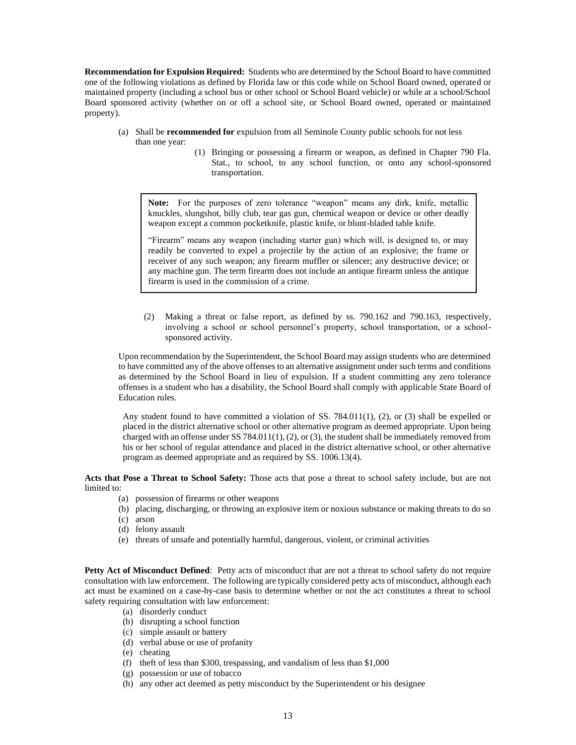**Recommendation for Expulsion Required:** Students who are determined by the School Board to have committed one of the following violations as defined by Florida law or this code while on School Board owned, operated or maintained property (including a school bus or other school or School Board vehicle) or while at a school/School Board sponsored activity (whether on or off a school site, or School Board owned, operated or maintained property).

- (a) Shall be **recommended for** expulsion from all Seminole County public schools for not less than one year:
	- (1) Bringing or possessing a firearm or weapon, as defined in Chapter 790 Fla. Stat., to school, to any school function, or onto any school-sponsored transportation.

**Note:** For the purposes of zero tolerance "weapon" means any dirk, knife, metallic knuckles, slungshot, billy club, tear gas gun, chemical weapon or device or other deadly weapon except a common pocketknife, plastic knife, or blunt-bladed table knife.

"Firearm" means any weapon (including starter gun) which will, is designed to, or may readily be converted to expel a projectile by the action of an explosive; the frame or receiver of any such weapon; any firearm muffler or silencer; any destructive device; or any machine gun. The term firearm does not include an antique firearm unless the antique firearm is used in the commission of a crime.

(2) Making a threat or false report, as defined by ss. 790.162 and 790.163, respectively, involving a school or school personnel's property, school transportation, or a schoolsponsored activity.

Upon recommendation by the Superintendent, the School Board may assign students who are determined to have committed any of the above offenses to an alternative assignment under such terms and conditions as determined by the School Board in lieu of expulsion. If a student committing any zero tolerance offenses is a student who has a disability, the School Board shall comply with applicable State Board of Education rules.

Any student found to have committed a violation of SS. 784.011(1), (2), or (3) shall be expelled or placed in the district alternative school or other alternative program as deemed appropriate. Upon being charged with an offense under SS 784.011(1), (2), or (3), the student shall be immediately removed from his or her school of regular attendance and placed in the district alternative school, or other alternative program as deemed appropriate and as required by SS. 1006.13(4).

**Acts that Pose a Threat to School Safety:** Those acts that pose a threat to school safety include, but are not limited to:

- (a) possession of firearms or other weapons
- (b) placing, discharging, or throwing an explosive item or noxious substance or making threats to do so
- (c) arson
- (d) felony assault
- (e) threats of unsafe and potentially harmful, dangerous, violent, or criminal activities

**Petty Act of Misconduct Defined**: Petty acts of misconduct that are not a threat to school safety do not require consultation with law enforcement. The following are typically considered petty acts of misconduct, although each act must be examined on a case-by-case basis to determine whether or not the act constitutes a threat to school safety requiring consultation with law enforcement:

- (a) disorderly conduct
- (b) disrupting a school function
- (c) simple assault or battery
- (d) verbal abuse or use of profanity
- (e) cheating
- (f) theft of less than \$300, trespassing, and vandalism of less than \$1,000
- (g) possession or use of tobacco
- (h) any other act deemed as petty misconduct by the Superintendent or his designee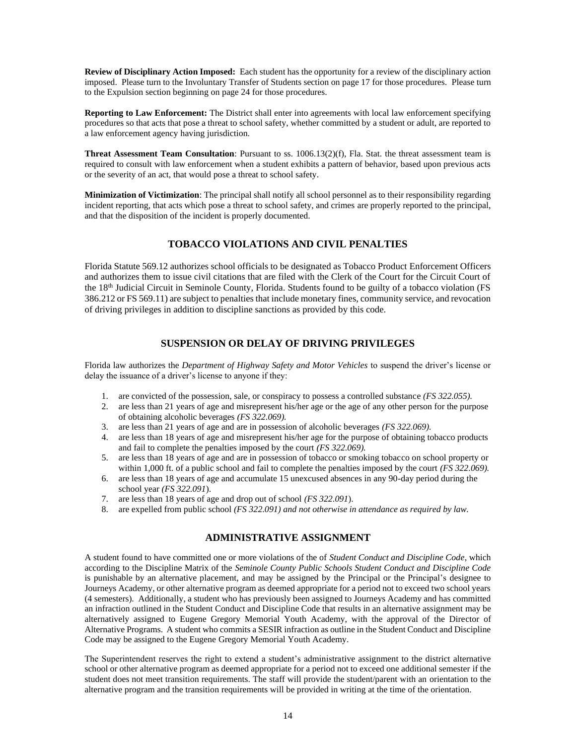**Review of Disciplinary Action Imposed:** Each student has the opportunity for a review of the disciplinary action imposed. Please turn to the Involuntary Transfer of Students section on page 17 for those procedures. Please turn to the Expulsion section beginning on page 24 for those procedures.

**Reporting to Law Enforcement:** The District shall enter into agreements with local law enforcement specifying procedures so that acts that pose a threat to school safety, whether committed by a student or adult, are reported to a law enforcement agency having jurisdiction.

**Threat Assessment Team Consultation**: Pursuant to ss. 1006.13(2)(f), Fla. Stat. the threat assessment team is required to consult with law enforcement when a student exhibits a pattern of behavior, based upon previous acts or the severity of an act, that would pose a threat to school safety.

**Minimization of Victimization**: The principal shall notify all school personnel as to their responsibility regarding incident reporting, that acts which pose a threat to school safety, and crimes are properly reported to the principal, and that the disposition of the incident is properly documented.

# **TOBACCO VIOLATIONS AND CIVIL PENALTIES**

Florida Statute 569.12 authorizes school officials to be designated as Tobacco Product Enforcement Officers and authorizes them to issue civil citations that are filed with the Clerk of the Court for the Circuit Court of the 18<sup>th</sup> Judicial Circuit in Seminole County, Florida. Students found to be guilty of a tobacco violation (FS 386.212 or FS 569.11) are subject to penalties that include monetary fines, community service, and revocation of driving privileges in addition to discipline sanctions as provided by this code.

# **SUSPENSION OR DELAY OF DRIVING PRIVILEGES**

Florida law authorizes the *Department of Highway Safety and Motor Vehicles* to suspend the driver's license or delay the issuance of a driver's license to anyone if they:

- 1. are convicted of the possession, sale, or conspiracy to possess a controlled substance *(FS 322.055).*
- 2. are less than 21 years of age and misrepresent his/her age or the age of any other person for the purpose of obtaining alcoholic beverages *(FS 322.069).*
- 3. are less than 21 years of age and are in possession of alcoholic beverages *(FS 322.069).*
- 4. are less than 18 years of age and misrepresent his/her age for the purpose of obtaining tobacco products and fail to complete the penalties imposed by the court *(FS 322.069).*
- 5. are less than 18 years of age and are in possession of tobacco or smoking tobacco on school property or within 1,000 ft. of a public school and fail to complete the penalties imposed by the court *(FS 322.069)*.
- 6. are less than 18 years of age and accumulate 15 unexcused absences in any 90-day period during the school year *(FS 322.091*).
- 7. are less than 18 years of age and drop out of school *(FS 322.091*).
- 8. are expelled from public school *(FS 322.091) and not otherwise in attendance as required by law.*

# **ADMINISTRATIVE ASSIGNMENT**

A student found to have committed one or more violations of the of *Student Conduct and Discipline Code*, which according to the Discipline Matrix of the *Seminole County Public Schools Student Conduct and Discipline Code* is punishable by an alternative placement, and may be assigned by the Principal or the Principal's designee to Journeys Academy, or other alternative program as deemed appropriate for a period not to exceed two school years (4 semesters). Additionally, a student who has previously been assigned to Journeys Academy and has committed an infraction outlined in the Student Conduct and Discipline Code that results in an alternative assignment may be alternatively assigned to Eugene Gregory Memorial Youth Academy, with the approval of the Director of Alternative Programs. A student who commits a SESIR infraction as outline in the Student Conduct and Discipline Code may be assigned to the Eugene Gregory Memorial Youth Academy.

The Superintendent reserves the right to extend a student's administrative assignment to the district alternative school or other alternative program as deemed appropriate for a period not to exceed one additional semester if the student does not meet transition requirements. The staff will provide the student/parent with an orientation to the alternative program and the transition requirements will be provided in writing at the time of the orientation.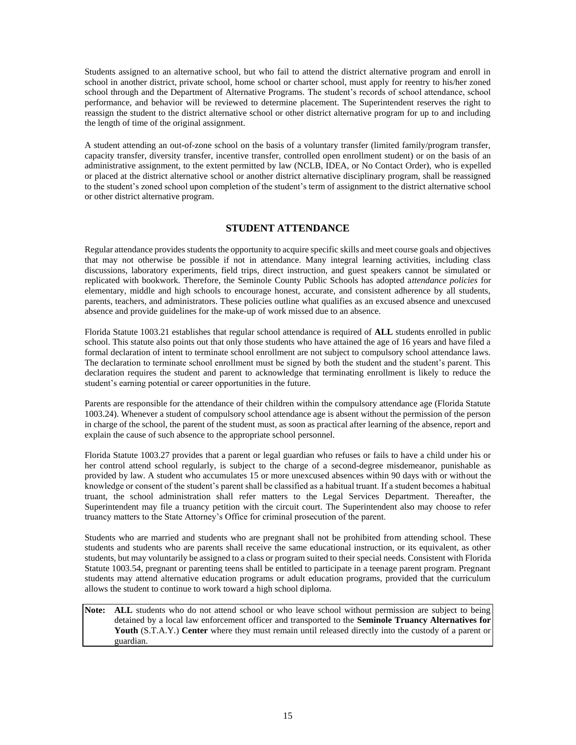Students assigned to an alternative school, but who fail to attend the district alternative program and enroll in school in another district, private school, home school or charter school, must apply for reentry to his/her zoned school through and the Department of Alternative Programs. The student's records of school attendance, school performance, and behavior will be reviewed to determine placement. The Superintendent reserves the right to reassign the student to the district alternative school or other district alternative program for up to and including the length of time of the original assignment.

A student attending an out-of-zone school on the basis of a voluntary transfer (limited family/program transfer, capacity transfer, diversity transfer, incentive transfer, controlled open enrollment student) or on the basis of an administrative assignment, to the extent permitted by law (NCLB, IDEA, or No Contact Order), who is expelled or placed at the district alternative school or another district alternative disciplinary program, shall be reassigned to the student's zoned school upon completion of the student's term of assignment to the district alternative school or other district alternative program.

## **STUDENT ATTENDANCE**

Regular attendance provides students the opportunity to acquire specific skills and meet course goals and objectives that may not otherwise be possible if not in attendance. Many integral learning activities, including class discussions, laboratory experiments, field trips, direct instruction, and guest speakers cannot be simulated or replicated with bookwork. Therefore, the Seminole County Public Schools has adopted a*ttendance policies* for elementary, middle and high schools to encourage honest, accurate, and consistent adherence by all students, parents, teachers, and administrators. These policies outline what qualifies as an excused absence and unexcused absence and provide guidelines for the make-up of work missed due to an absence.

Florida Statute 1003.21 establishes that regular school attendance is required of **ALL** students enrolled in public school. This statute also points out that only those students who have attained the age of 16 years and have filed a formal declaration of intent to terminate school enrollment are not subject to compulsory school attendance laws. The declaration to terminate school enrollment must be signed by both the student and the student's parent. This declaration requires the student and parent to acknowledge that terminating enrollment is likely to reduce the student's earning potential or career opportunities in the future.

Parents are responsible for the attendance of their children within the compulsory attendance age (Florida Statute 1003.24). Whenever a student of compulsory school attendance age is absent without the permission of the person in charge of the school, the parent of the student must, as soon as practical after learning of the absence, report and explain the cause of such absence to the appropriate school personnel.

Florida Statute 1003.27 provides that a parent or legal guardian who refuses or fails to have a child under his or her control attend school regularly, is subject to the charge of a second-degree misdemeanor, punishable as provided by law. A student who accumulates 15 or more unexcused absences within 90 days with or without the knowledge or consent of the student's parent shall be classified as a habitual truant. If a student becomes a habitual truant, the school administration shall refer matters to the Legal Services Department. Thereafter, the Superintendent may file a truancy petition with the circuit court. The Superintendent also may choose to refer truancy matters to the State Attorney's Office for criminal prosecution of the parent.

Students who are married and students who are pregnant shall not be prohibited from attending school. These students and students who are parents shall receive the same educational instruction, or its equivalent, as other students, but may voluntarily be assigned to a class or program suited to their special needs. Consistent with Florida Statute 1003.54, pregnant or parenting teens shall be entitled to participate in a teenage parent program. Pregnant students may attend alternative education programs or adult education programs, provided that the curriculum allows the student to continue to work toward a high school diploma.

Note: ALL students who do not attend school or who leave school without permission are subject to being detained by a local law enforcement officer and transported to the **Seminole Truancy Alternatives for Youth** (S.T.A.Y.) **Center** where they must remain until released directly into the custody of a parent or guardian.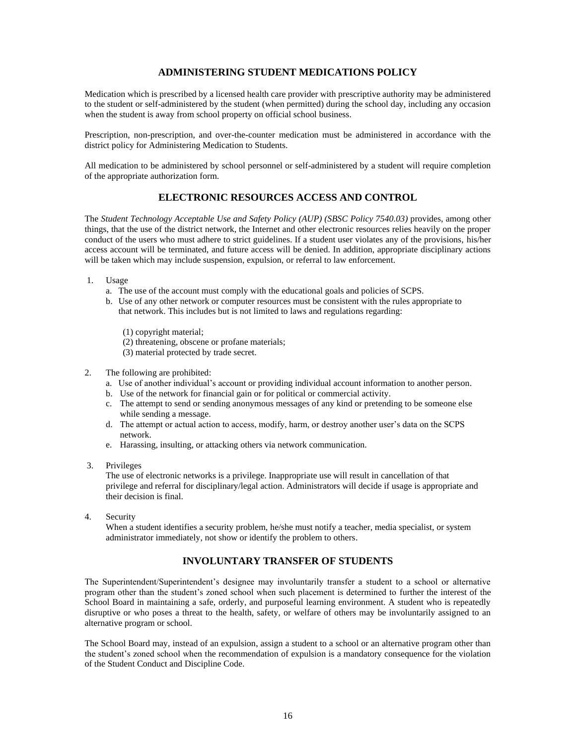# **ADMINISTERING STUDENT MEDICATIONS POLICY**

Medication which is prescribed by a licensed health care provider with prescriptive authority may be administered to the student or self-administered by the student (when permitted) during the school day, including any occasion when the student is away from school property on official school business.

Prescription, non-prescription, and over-the-counter medication must be administered in accordance with the district policy for Administering Medication to Students.

All medication to be administered by school personnel or self-administered by a student will require completion of the appropriate authorization form.

#### **ELECTRONIC RESOURCES ACCESS AND CONTROL**

The *Student Technology Acceptable Use and Safety Policy (AUP) (SBSC Policy 7540.03)* provides, among other things, that the use of the district network, the Internet and other electronic resources relies heavily on the proper conduct of the users who must adhere to strict guidelines. If a student user violates any of the provisions, his/her access account will be terminated, and future access will be denied. In addition, appropriate disciplinary actions will be taken which may include suspension, expulsion, or referral to law enforcement.

- 1. Usage
	- a. The use of the account must comply with the educational goals and policies of SCPS.
	- b. Use of any other network or computer resources must be consistent with the rules appropriate to that network. This includes but is not limited to laws and regulations regarding:
		- (1) copyright material;
		- (2) threatening, obscene or profane materials;
		- (3) material protected by trade secret.
- 2. The following are prohibited:
	- a. Use of another individual's account or providing individual account information to another person.
	- b. Use of the network for financial gain or for political or commercial activity.
	- c. The attempt to send or sending anonymous messages of any kind or pretending to be someone else while sending a message.
	- d. The attempt or actual action to access, modify, harm, or destroy another user's data on the SCPS network.
	- e. Harassing, insulting, or attacking others via network communication.
- 3. Privileges

The use of electronic networks is a privilege. Inappropriate use will result in cancellation of that privilege and referral for disciplinary/legal action. Administrators will decide if usage is appropriate and their decision is final.

4. Security

When a student identifies a security problem, he/she must notify a teacher, media specialist, or system administrator immediately, not show or identify the problem to others.

# **INVOLUNTARY TRANSFER OF STUDENTS**

The Superintendent/Superintendent's designee may involuntarily transfer a student to a school or alternative program other than the student's zoned school when such placement is determined to further the interest of the School Board in maintaining a safe, orderly, and purposeful learning environment. A student who is repeatedly disruptive or who poses a threat to the health, safety, or welfare of others may be involuntarily assigned to an alternative program or school.

The School Board may, instead of an expulsion, assign a student to a school or an alternative program other than the student's zoned school when the recommendation of expulsion is a mandatory consequence for the violation of the Student Conduct and Discipline Code.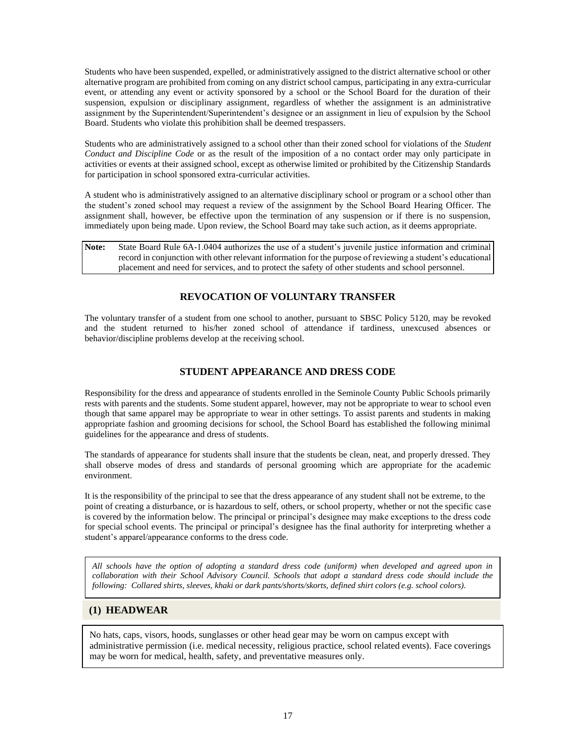Students who have been suspended, expelled, or administratively assigned to the district alternative school or other alternative program are prohibited from coming on any district school campus, participating in any extra-curricular event, or attending any event or activity sponsored by a school or the School Board for the duration of their suspension, expulsion or disciplinary assignment, regardless of whether the assignment is an administrative assignment by the Superintendent/Superintendent's designee or an assignment in lieu of expulsion by the School Board. Students who violate this prohibition shall be deemed trespassers.

Students who are administratively assigned to a school other than their zoned school for violations of the *Student Conduct and Discipline Code* or as the result of the imposition of a no contact order may only participate in activities or events at their assigned school, except as otherwise limited or prohibited by the Citizenship Standards for participation in school sponsored extra-curricular activities.

A student who is administratively assigned to an alternative disciplinary school or program or a school other than the student's zoned school may request a review of the assignment by the School Board Hearing Officer. The assignment shall, however, be effective upon the termination of any suspension or if there is no suspension, immediately upon being made. Upon review, the School Board may take such action, as it deems appropriate.

| Note: | State Board Rule 6A-1.0404 authorizes the use of a student's juvenile justice information and criminal     |
|-------|------------------------------------------------------------------------------------------------------------|
|       | record in conjunction with other relevant information for the purpose of reviewing a student's educational |
|       | placement and need for services, and to protect the safety of other students and school personnel.         |

# **REVOCATION OF VOLUNTARY TRANSFER**

The voluntary transfer of a student from one school to another, pursuant to SBSC Policy 5120, may be revoked and the student returned to his/her zoned school of attendance if tardiness, unexcused absences or behavior/discipline problems develop at the receiving school.

# **STUDENT APPEARANCE AND DRESS CODE**

Responsibility for the dress and appearance of students enrolled in the Seminole County Public Schools primarily rests with parents and the students. Some student apparel, however, may not be appropriate to wear to school even though that same apparel may be appropriate to wear in other settings. To assist parents and students in making appropriate fashion and grooming decisions for school, the School Board has established the following minimal guidelines for the appearance and dress of students.

The standards of appearance for students shall insure that the students be clean, neat, and properly dressed. They shall observe modes of dress and standards of personal grooming which are appropriate for the academic environment.

It is the responsibility of the principal to see that the dress appearance of any student shall not be extreme, to the point of creating a disturbance, or is hazardous to self, others, or school property, whether or not the specific case is covered by the information below. The principal or principal's designee may make exceptions to the dress code for special school events. The principal or principal's designee has the final authority for interpreting whether a student's apparel/appearance conforms to the dress code.

*All schools have the option of adopting a standard dress code (uniform) when developed and agreed upon in collaboration with their School Advisory Council. Schools that adopt a standard dress code should include the following: Collared shirts, sleeves, khaki or dark pants/shorts/skorts, defined shirt colors (e.g. school colors).*

# **(1) HEADWEAR**

No hats, caps, visors, hoods, sunglasses or other head gear may be worn on campus except with administrative permission (i.e. medical necessity, religious practice, school related events). Face coverings may be worn for medical, health, safety, and preventative measures only.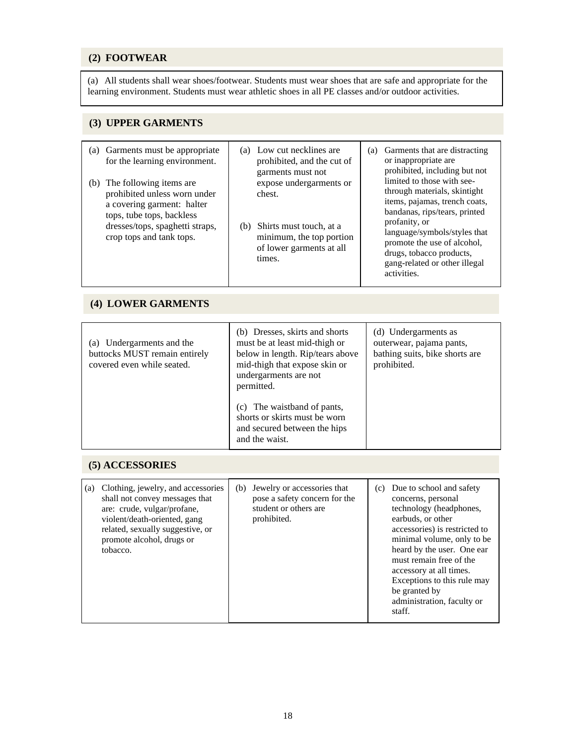# **(2) FOOTWEAR**

(a) All students shall wear shoes/footwear. Students must wear shoes that are safe and appropriate for the learning environment. Students must wear athletic shoes in all PE classes and/or outdoor activities.

# **(3) UPPER GARMENTS**

| Garments must be appropriate<br>(a)<br>for the learning environment.<br>The following items are<br>(b)<br>prohibited unless worn under<br>a covering garment: halter<br>tops, tube tops, backless<br>dresses/tops, spaghetti straps,<br>crop tops and tank tops. | Low cut necklines are<br>(a)<br>prohibited, and the cut of<br>garments must not<br>expose undergarments or<br>chest.<br>Shirts must touch, at a<br>(b)<br>minimum, the top portion<br>of lower garments at all<br>times.                       | Garments that are distracting<br>(a)<br>or inappropriate are<br>prohibited, including but not<br>limited to those with see-<br>through materials, skintight<br>items, pajamas, trench coats,<br>bandanas, rips/tears, printed<br>profanity, or<br>language/symbols/styles that<br>promote the use of alcohol,<br>drugs, tobacco products,<br>gang-related or other illegal<br>activities. |
|------------------------------------------------------------------------------------------------------------------------------------------------------------------------------------------------------------------------------------------------------------------|------------------------------------------------------------------------------------------------------------------------------------------------------------------------------------------------------------------------------------------------|-------------------------------------------------------------------------------------------------------------------------------------------------------------------------------------------------------------------------------------------------------------------------------------------------------------------------------------------------------------------------------------------|
| (4) LOWER GARMENTS                                                                                                                                                                                                                                               |                                                                                                                                                                                                                                                |                                                                                                                                                                                                                                                                                                                                                                                           |
| (a) Undergarments and the<br>buttocks MUST remain entirely<br>covered even while seated.                                                                                                                                                                         | (b) Dresses, skirts and shorts<br>must be at least mid-thigh or<br>below in length. Rip/tears above<br>mid-thigh that expose skin or<br>undergarments are not<br>permitted.<br>The waistband of pants,<br>(c)<br>shorts or skirts must be worn | (d) Undergarments as<br>outerwear, pajama pants,<br>bathing suits, bike shorts are<br>prohibited.                                                                                                                                                                                                                                                                                         |

# **(5) ACCESSORIES**

| (a) | Clothing, jewelry, and accessories<br>shall not convey messages that<br>are: crude, vulgar/profane,<br>violent/death-oriented, gang<br>related, sexually suggestive, or<br>promote alcohol, drugs or<br>tobacco. | (b) | Jewelry or accessories that<br>pose a safety concern for the<br>student or others are<br>prohibited. | (c) | Due to school and safety<br>concerns, personal<br>technology (headphones,<br>earbuds, or other<br>accessories) is restricted to<br>minimal volume, only to be<br>heard by the user. One ear<br>must remain free of the<br>accessory at all times.<br>Exceptions to this rule may<br>be granted by<br>administration, faculty or<br>staff. |
|-----|------------------------------------------------------------------------------------------------------------------------------------------------------------------------------------------------------------------|-----|------------------------------------------------------------------------------------------------------|-----|-------------------------------------------------------------------------------------------------------------------------------------------------------------------------------------------------------------------------------------------------------------------------------------------------------------------------------------------|

and secured between the hips

and the waist.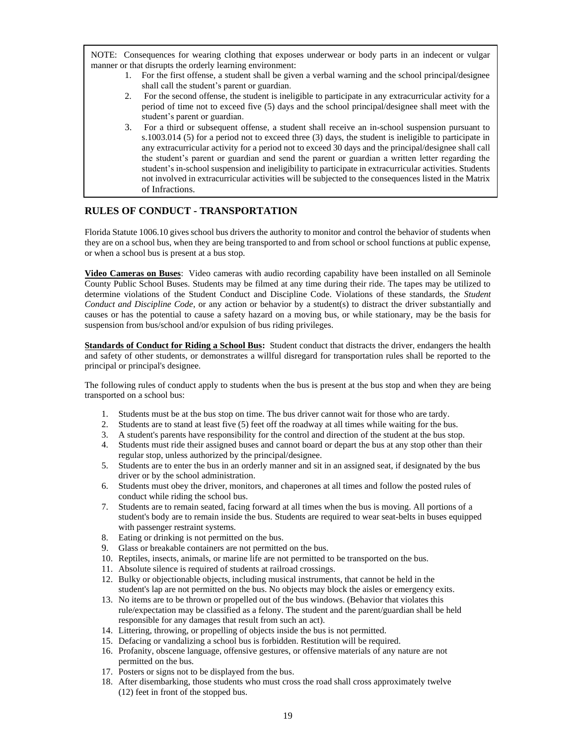NOTE: Consequences for wearing clothing that exposes underwear or body parts in an indecent or vulgar manner or that disrupts the orderly learning environment:

- 1. For the first offense, a student shall be given a verbal warning and the school principal/designee shall call the student's parent or guardian.
- 2. For the second offense, the student is ineligible to participate in any extracurricular activity for a period of time not to exceed five (5) days and the school principal/designee shall meet with the student's parent or guardian.
- 3. For a third or subsequent offense, a student shall receive an in-school suspension pursuant to s.1003.014 (5) for a period not to exceed three (3) days, the student is ineligible to participate in any extracurricular activity for a period not to exceed 30 days and the principal/designee shall call the student's parent or guardian and send the parent or guardian a written letter regarding the student's in-school suspension and ineligibility to participate in extracurricular activities. Students not involved in extracurricular activities will be subjected to the consequences listed in the Matrix of Infractions.

# **RULES OF CONDUCT - TRANSPORTATION**

Florida Statute 1006.10 gives school bus drivers the authority to monitor and control the behavior of students when they are on a school bus, when they are being transported to and from school or school functions at public expense, or when a school bus is present at a bus stop.

**Video Cameras on Buses**: Video cameras with audio recording capability have been installed on all Seminole County Public School Buses. Students may be filmed at any time during their ride. The tapes may be utilized to determine violations of the Student Conduct and Discipline Code. Violations of these standards, the *Student Conduct and Discipline Code*, or any action or behavior by a student(s) to distract the driver substantially and causes or has the potential to cause a safety hazard on a moving bus, or while stationary, may be the basis for suspension from bus/school and/or expulsion of bus riding privileges.

**Standards of Conduct for Riding a School Bus:** Student conduct that distracts the driver, endangers the health and safety of other students, or demonstrates a willful disregard for transportation rules shall be reported to the principal or principal's designee.

The following rules of conduct apply to students when the bus is present at the bus stop and when they are being transported on a school bus:

- 1. Students must be at the bus stop on time. The bus driver cannot wait for those who are tardy.
- 2. Students are to stand at least five (5) feet off the roadway at all times while waiting for the bus.
- 3. A student's parents have responsibility for the control and direction of the student at the bus stop.
- 4. Students must ride their assigned buses and cannot board or depart the bus at any stop other than their regular stop, unless authorized by the principal/designee.
- 5. Students are to enter the bus in an orderly manner and sit in an assigned seat, if designated by the bus driver or by the school administration.
- 6. Students must obey the driver, monitors, and chaperones at all times and follow the posted rules of conduct while riding the school bus.
- 7. Students are to remain seated, facing forward at all times when the bus is moving. All portions of a student's body are to remain inside the bus. Students are required to wear seat-belts in buses equipped with passenger restraint systems.
- 8. Eating or drinking is not permitted on the bus.
- 9. Glass or breakable containers are not permitted on the bus.
- 10. Reptiles, insects, animals, or marine life are not permitted to be transported on the bus.
- 11. Absolute silence is required of students at railroad crossings.
- 12. Bulky or objectionable objects, including musical instruments, that cannot be held in the student's lap are not permitted on the bus. No objects may block the aisles or emergency exits.
- 13. No items are to be thrown or propelled out of the bus windows. (Behavior that violates this rule/expectation may be classified as a felony. The student and the parent/guardian shall be held responsible for any damages that result from such an act).
- 14. Littering, throwing, or propelling of objects inside the bus is not permitted.
- 15. Defacing or vandalizing a school bus is forbidden. Restitution will be required.
- 16. Profanity, obscene language, offensive gestures, or offensive materials of any nature are not permitted on the bus.
- 17. Posters or signs not to be displayed from the bus.
- 18. After disembarking, those students who must cross the road shall cross approximately twelve (12) feet in front of the stopped bus.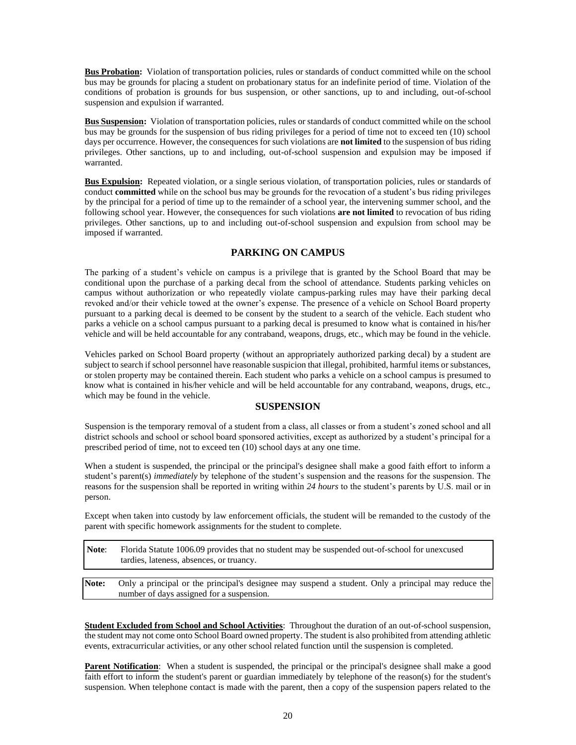**Bus Probation:** Violation of transportation policies, rules or standards of conduct committed while on the school bus may be grounds for placing a student on probationary status for an indefinite period of time. Violation of the conditions of probation is grounds for bus suspension, or other sanctions, up to and including, out-of-school suspension and expulsion if warranted.

**Bus Suspension:** Violation of transportation policies, rules or standards of conduct committed while on the school bus may be grounds for the suspension of bus riding privileges for a period of time not to exceed ten (10) school days per occurrence. However, the consequences for such violations are **not limited** to the suspension of bus riding privileges. Other sanctions, up to and including, out-of-school suspension and expulsion may be imposed if warranted.

**Bus Expulsion:** Repeated violation, or a single serious violation, of transportation policies, rules or standards of conduct **committed** while on the school bus may be grounds for the revocation of a student's bus riding privileges by the principal for a period of time up to the remainder of a school year, the intervening summer school, and the following school year. However, the consequences for such violations **are not limited** to revocation of bus riding privileges. Other sanctions, up to and including out-of-school suspension and expulsion from school may be imposed if warranted.

#### **PARKING ON CAMPUS**

The parking of a student's vehicle on campus is a privilege that is granted by the School Board that may be conditional upon the purchase of a parking decal from the school of attendance. Students parking vehicles on campus without authorization or who repeatedly violate campus-parking rules may have their parking decal revoked and/or their vehicle towed at the owner's expense. The presence of a vehicle on School Board property pursuant to a parking decal is deemed to be consent by the student to a search of the vehicle. Each student who parks a vehicle on a school campus pursuant to a parking decal is presumed to know what is contained in his/her vehicle and will be held accountable for any contraband, weapons, drugs, etc., which may be found in the vehicle.

Vehicles parked on School Board property (without an appropriately authorized parking decal) by a student are subject to search if school personnel have reasonable suspicion that illegal, prohibited, harmful items or substances, or stolen property may be contained therein. Each student who parks a vehicle on a school campus is presumed to know what is contained in his/her vehicle and will be held accountable for any contraband, weapons, drugs, etc., which may be found in the vehicle.

#### **SUSPENSION**

Suspension is the temporary removal of a student from a class, all classes or from a student's zoned school and all district schools and school or school board sponsored activities, except as authorized by a student's principal for a prescribed period of time, not to exceed ten (10) school days at any one time.

When a student is suspended, the principal or the principal's designee shall make a good faith effort to inform a student's parent(s) *immediately* by telephone of the student's suspension and the reasons for the suspension. The reasons for the suspension shall be reported in writing within *24 hours* to the student's parents by U.S. mail or in person.

Except when taken into custody by law enforcement officials, the student will be remanded to the custody of the parent with specific homework assignments for the student to complete.

**Note**: Florida Statute 1006.09 provides that no student may be suspended out-of-school for unexcused tardies, lateness, absences, or truancy.

**Note:** Only a principal or the principal's designee may suspend a student. Only a principal may reduce the number of days assigned for a suspension.

**Student Excluded from School and School Activities**: Throughout the duration of an out-of-school suspension, the student may not come onto School Board owned property. The student is also prohibited from attending athletic events, extracurricular activities, or any other school related function until the suspension is completed.

**Parent Notification**: When a student is suspended, the principal or the principal's designee shall make a good faith effort to inform the student's parent or guardian immediately by telephone of the reason(s) for the student's suspension. When telephone contact is made with the parent, then a copy of the suspension papers related to the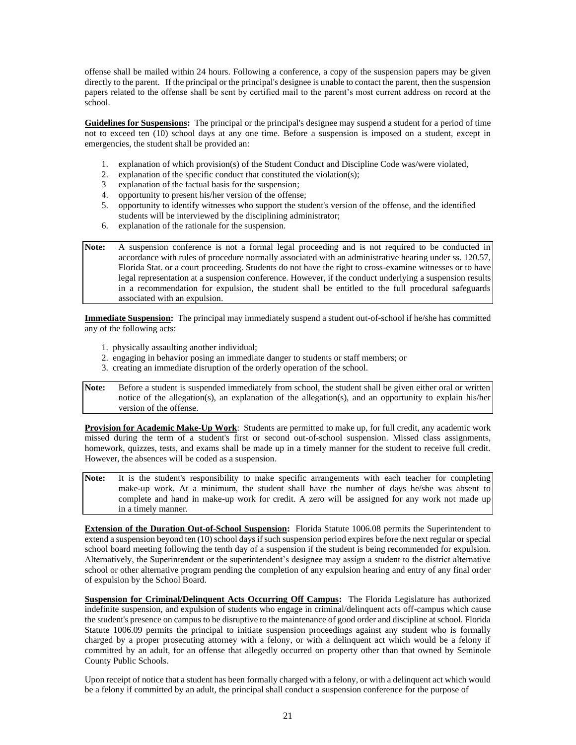offense shall be mailed within 24 hours. Following a conference, a copy of the suspension papers may be given directly to the parent. If the principal or the principal's designee is unable to contact the parent, then the suspension papers related to the offense shall be sent by certified mail to the parent's most current address on record at the school.

**Guidelines for Suspensions:** The principal or the principal's designee may suspend a student for a period of time not to exceed ten (10) school days at any one time. Before a suspension is imposed on a student, except in emergencies, the student shall be provided an:

- 1. explanation of which provision(s) of the Student Conduct and Discipline Code was/were violated, 2. explanation of the specific conduct that constituted the violation(s);
- 2. explanation of the specific conduct that constituted the violation(s);<br>3. explanation of the factual basis for the suspension;
- explanation of the factual basis for the suspension;
- 4. opportunity to present his/her version of the offense;
- 5. opportunity to identify witnesses who support the student's version of the offense, and the identified students will be interviewed by the disciplining administrator;
- 6. explanation of the rationale for the suspension.
- **Note:** A suspension conference is not a formal legal proceeding and is not required to be conducted in accordance with rules of procedure normally associated with an administrative hearing under ss. 120.57, Florida Stat. or a court proceeding. Students do not have the right to cross-examine witnesses or to have legal representation at a suspension conference. However, if the conduct underlying a suspension results in a recommendation for expulsion, the student shall be entitled to the full procedural safeguards associated with an expulsion.

**Immediate Suspension:** The principal may immediately suspend a student out-of-school if he/she has committed any of the following acts:

- 1. physically assaulting another individual;
- 2. engaging in behavior posing an immediate danger to students or staff members; or
- 3. creating an immediate disruption of the orderly operation of the school.
- **Note:** Before a student is suspended immediately from school, the student shall be given either oral or written notice of the allegation(s), an explanation of the allegation(s), and an opportunity to explain his/her version of the offense.

**Provision for Academic Make-Up Work**: Students are permitted to make up, for full credit, any academic work missed during the term of a student's first or second out-of-school suspension. Missed class assignments, homework, quizzes, tests, and exams shall be made up in a timely manner for the student to receive full credit. However, the absences will be coded as a suspension.

Note: It is the student's responsibility to make specific arrangements with each teacher for completing make-up work. At a minimum, the student shall have the number of days he/she was absent to complete and hand in make-up work for credit. A zero will be assigned for any work not made up in a timely manner.

**Extension of the Duration Out-of-School Suspension:** Florida Statute 1006.08 permits the Superintendent to extend a suspension beyond ten (10) school days if such suspension period expires before the next regular or special school board meeting following the tenth day of a suspension if the student is being recommended for expulsion. Alternatively, the Superintendent or the superintendent's designee may assign a student to the district alternative school or other alternative program pending the completion of any expulsion hearing and entry of any final order of expulsion by the School Board.

**Suspension for Criminal/Delinquent Acts Occurring Off Campus:** The Florida Legislature has authorized indefinite suspension, and expulsion of students who engage in criminal/delinquent acts off-campus which cause the student's presence on campus to be disruptive to the maintenance of good order and discipline at school. Florida Statute 1006.09 permits the principal to initiate suspension proceedings against any student who is formally charged by a proper prosecuting attorney with a felony, or with a delinquent act which would be a felony if committed by an adult, for an offense that allegedly occurred on property other than that owned by Seminole County Public Schools.

Upon receipt of notice that a student has been formally charged with a felony, or with a delinquent act which would be a felony if committed by an adult, the principal shall conduct a suspension conference for the purpose of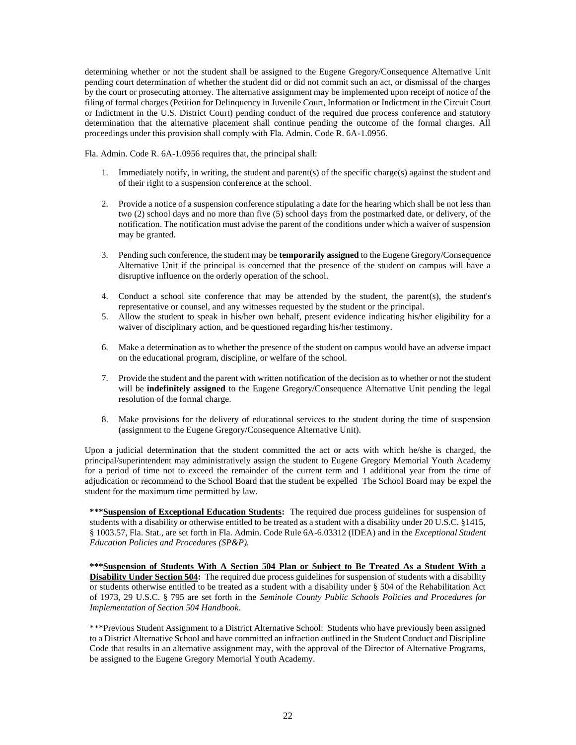determining whether or not the student shall be assigned to the Eugene Gregory/Consequence Alternative Unit pending court determination of whether the student did or did not commit such an act, or dismissal of the charges by the court or prosecuting attorney. The alternative assignment may be implemented upon receipt of notice of the filing of formal charges (Petition for Delinquency in Juvenile Court, Information or Indictment in the Circuit Court or Indictment in the U.S. District Court) pending conduct of the required due process conference and statutory determination that the alternative placement shall continue pending the outcome of the formal charges. All proceedings under this provision shall comply with Fla. Admin. Code R. 6A-1.0956.

Fla. Admin. Code R. 6A-1.0956 requires that, the principal shall:

- 1. Immediately notify, in writing, the student and parent(s) of the specific charge(s) against the student and of their right to a suspension conference at the school.
- 2. Provide a notice of a suspension conference stipulating a date for the hearing which shall be not less than two (2) school days and no more than five (5) school days from the postmarked date, or delivery, of the notification. The notification must advise the parent of the conditions under which a waiver of suspension may be granted.
- 3. Pending such conference, the student may be **temporarily assigned** to the Eugene Gregory/Consequence Alternative Unit if the principal is concerned that the presence of the student on campus will have a disruptive influence on the orderly operation of the school.
- 4. Conduct a school site conference that may be attended by the student, the parent(s), the student's representative or counsel, and any witnesses requested by the student or the principal.
- 5. Allow the student to speak in his/her own behalf, present evidence indicating his/her eligibility for a waiver of disciplinary action, and be questioned regarding his/her testimony.
- 6. Make a determination as to whether the presence of the student on campus would have an adverse impact on the educational program, discipline, or welfare of the school.
- 7. Provide the student and the parent with written notification of the decision as to whether or not the student will be **indefinitely assigned** to the Eugene Gregory/Consequence Alternative Unit pending the legal resolution of the formal charge.
- 8. Make provisions for the delivery of educational services to the student during the time of suspension (assignment to the Eugene Gregory/Consequence Alternative Unit).

Upon a judicial determination that the student committed the act or acts with which he/she is charged, the principal/superintendent may administratively assign the student to Eugene Gregory Memorial Youth Academy for a period of time not to exceed the remainder of the current term and 1 additional year from the time of adjudication or recommend to the School Board that the student be expelled The School Board may be expel the student for the maximum time permitted by law.

**\*\*\*Suspension of Exceptional Education Students:** The required due process guidelines for suspension of students with a disability or otherwise entitled to be treated as a student with a disability under 20 U.S.C. §1415, § 1003.57, Fla. Stat., are set forth in Fla. Admin. Code Rule 6A-6.03312 (IDEA) and in the *Exceptional Student Education Policies and Procedures (SP&P).*

**\*\*\*Suspension of Students With A Section 504 Plan or Subject to Be Treated As a Student With a Disability Under Section 504:** The required due process guidelines for suspension of students with a disability or students otherwise entitled to be treated as a student with a disability under § 504 of the Rehabilitation Act of 1973, 29 U.S.C. § 795 are set forth in the *Seminole County Public Schools Policies and Procedures for Implementation of Section 504 Handbook*.

\*\*\*Previous Student Assignment to a District Alternative School: Students who have previously been assigned to a District Alternative School and have committed an infraction outlined in the Student Conduct and Discipline Code that results in an alternative assignment may, with the approval of the Director of Alternative Programs, be assigned to the Eugene Gregory Memorial Youth Academy.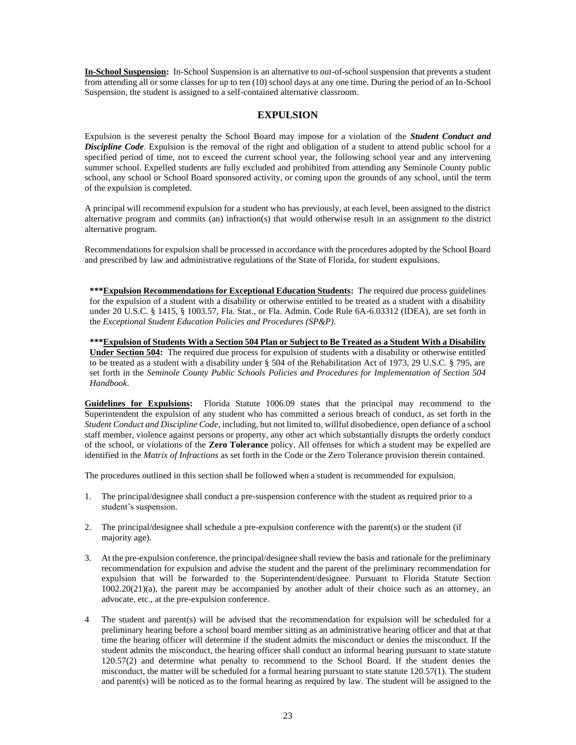**In-School Suspension:** In-School Suspension is an alternative to out-of-school suspension that prevents a student from attending all or some classes for up to ten (10) school days at any one time. During the period of an In-School Suspension, the student is assigned to a self-contained alternative classroom.

# **EXPULSION**

Expulsion is the severest penalty the School Board may impose for a violation of the *Student Conduct and Discipline Code*. Expulsion is the removal of the right and obligation of a student to attend public school for a specified period of time, not to exceed the current school year, the following school year and any intervening summer school. Expelled students are fully excluded and prohibited from attending any Seminole County public school, any school or School Board sponsored activity, or coming upon the grounds of any school, until the term of the expulsion is completed.

A principal will recommend expulsion for a student who has previously, at each level, been assigned to the district alternative program and commits (an) infraction(s) that would otherwise result in an assignment to the district alternative program.

Recommendations for expulsion shall be processed in accordance with the procedures adopted by the School Board and prescribed by law and administrative regulations of the State of Florida, for student expulsions.

**\*\*\*Expulsion Recommendations for Exceptional Education Students:** The required due process guidelines for the expulsion of a student with a disability or otherwise entitled to be treated as a student with a disability under 20 U.S.C. § 1415, § 1003.57, Fla. Stat., or Fla. Admin. Code Rule 6A-6.03312 (IDEA), are set forth in the *Exceptional Student Education Policies and Procedures (SP&P).*

**\*\*\*Expulsion of Students With a Section 504 Plan or Subject to Be Treated as a Student With a Disability Under Section 504:** The required due process for expulsion of students with a disability or otherwise entitled to be treated as a student with a disability under § 504 of the Rehabilitation Act of 1973, 29 U.S.C. § 795, are set forth in the *Seminole County Public Schools Policies and Procedures for Implementation of Section 504 Handbook*.

**Guidelines for Expulsions:** Florida Statute 1006.09 states that the principal may recommend to the Superintendent the expulsion of any student who has committed a serious breach of conduct, as set forth in the *Student Conduct and Discipline Code*, including, but not limited to, willful disobedience, open defiance of a school staff member, violence against persons or property, any other act which substantially disrupts the orderly conduct of the school, or violations of the **Zero Tolerance** policy. All offenses for which a student may be expelled are identified in the *Matrix of Infractions* as set forth in the Code or the Zero Tolerance provision therein contained.

The procedures outlined in this section shall be followed when a student is recommended for expulsion.

- 1. The principal/designee shall conduct a pre-suspension conference with the student as required prior to a student's suspension.
- 2. The principal/designee shall schedule a pre-expulsion conference with the parent(s) or the student (if majority age).
- 3. At the pre-expulsion conference, the principal/designee shall review the basis and rationale for the preliminary recommendation for expulsion and advise the student and the parent of the preliminary recommendation for expulsion that will be forwarded to the Superintendent/designee. Pursuant to Florida Statute Section 1002.20(21)(a), the parent may be accompanied by another adult of their choice such as an attorney, an advocate, etc., at the pre-expulsion conference.
- 4 The student and parent(s) will be advised that the recommendation for expulsion will be scheduled for a preliminary hearing before a school board member sitting as an administrative hearing officer and that at that time the hearing officer will determine if the student admits the misconduct or denies the misconduct. If the student admits the misconduct, the hearing officer shall conduct an informal hearing pursuant to state statute 120.57(2) and determine what penalty to recommend to the School Board. If the student denies the misconduct, the matter will be scheduled for a formal hearing pursuant to state statute 120.57(1). The student and parent(s) will be noticed as to the formal hearing as required by law. The student will be assigned to the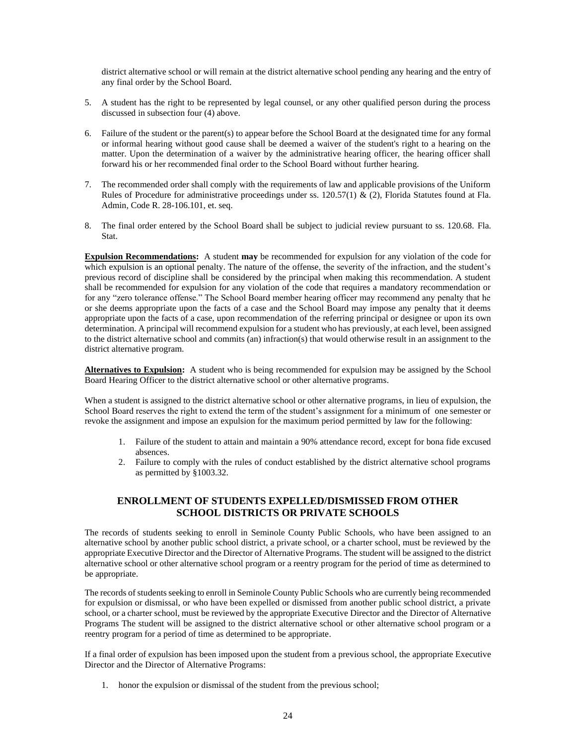district alternative school or will remain at the district alternative school pending any hearing and the entry of any final order by the School Board.

- 5. A student has the right to be represented by legal counsel, or any other qualified person during the process discussed in subsection four (4) above.
- 6. Failure of the student or the parent(s) to appear before the School Board at the designated time for any formal or informal hearing without good cause shall be deemed a waiver of the student's right to a hearing on the matter. Upon the determination of a waiver by the administrative hearing officer, the hearing officer shall forward his or her recommended final order to the School Board without further hearing.
- 7. The recommended order shall comply with the requirements of law and applicable provisions of the Uniform Rules of Procedure for administrative proceedings under ss. 120.57(1) & (2), Florida Statutes found at Fla. Admin, Code R. 28-106.101, et. seq.
- 8. The final order entered by the School Board shall be subject to judicial review pursuant to ss. 120.68. Fla. Stat.

**Expulsion Recommendations:** A student **may** be recommended for expulsion for any violation of the code for which expulsion is an optional penalty. The nature of the offense, the severity of the infraction, and the student's previous record of discipline shall be considered by the principal when making this recommendation. A student shall be recommended for expulsion for any violation of the code that requires a mandatory recommendation or for any "zero tolerance offense." The School Board member hearing officer may recommend any penalty that he or she deems appropriate upon the facts of a case and the School Board may impose any penalty that it deems appropriate upon the facts of a case, upon recommendation of the referring principal or designee or upon its own determination. A principal will recommend expulsion for a student who has previously, at each level, been assigned to the district alternative school and commits (an) infraction(s) that would otherwise result in an assignment to the district alternative program.

**Alternatives to Expulsion:** A student who is being recommended for expulsion may be assigned by the School Board Hearing Officer to the district alternative school or other alternative programs.

When a student is assigned to the district alternative school or other alternative programs, in lieu of expulsion, the School Board reserves the right to extend the term of the student's assignment for a minimum of one semester or revoke the assignment and impose an expulsion for the maximum period permitted by law for the following:

- 1. Failure of the student to attain and maintain a 90% attendance record, except for bona fide excused absences.
- 2. Failure to comply with the rules of conduct established by the district alternative school programs as permitted by §1003.32.

## **ENROLLMENT OF STUDENTS EXPELLED/DISMISSED FROM OTHER SCHOOL DISTRICTS OR PRIVATE SCHOOLS**

The records of students seeking to enroll in Seminole County Public Schools, who have been assigned to an alternative school by another public school district, a private school, or a charter school, must be reviewed by the appropriate Executive Director and the Director of Alternative Programs. The student will be assigned to the district alternative school or other alternative school program or a reentry program for the period of time as determined to be appropriate.

The records of students seeking to enroll in Seminole County Public Schools who are currently being recommended for expulsion or dismissal, or who have been expelled or dismissed from another public school district, a private school, or a charter school, must be reviewed by the appropriate Executive Director and the Director of Alternative Programs The student will be assigned to the district alternative school or other alternative school program or a reentry program for a period of time as determined to be appropriate.

If a final order of expulsion has been imposed upon the student from a previous school, the appropriate Executive Director and the Director of Alternative Programs:

1. honor the expulsion or dismissal of the student from the previous school;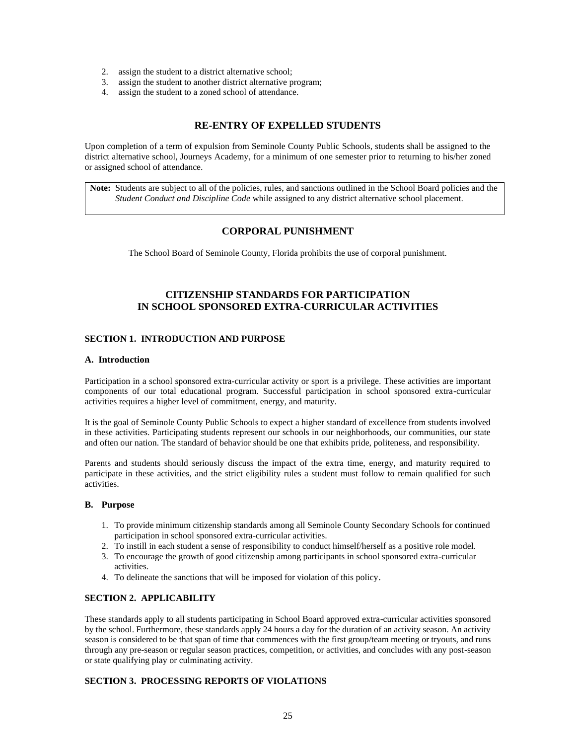- 2. assign the student to a district alternative school;
- 3. assign the student to another district alternative program;
- 4. assign the student to a zoned school of attendance.

#### **RE-ENTRY OF EXPELLED STUDENTS**

Upon completion of a term of expulsion from Seminole County Public Schools, students shall be assigned to the district alternative school, Journeys Academy, for a minimum of one semester prior to returning to his/her zoned or assigned school of attendance.

**Note:** Students are subject to all of the policies, rules, and sanctions outlined in the School Board policies and the *Student Conduct and Discipline Code* while assigned to any district alternative school placement.

#### **CORPORAL PUNISHMENT**

The School Board of Seminole County, Florida prohibits the use of corporal punishment.

# **CITIZENSHIP STANDARDS FOR PARTICIPATION IN SCHOOL SPONSORED EXTRA-CURRICULAR ACTIVITIES**

#### **SECTION 1. INTRODUCTION AND PURPOSE**

#### **A. Introduction**

Participation in a school sponsored extra-curricular activity or sport is a privilege. These activities are important components of our total educational program. Successful participation in school sponsored extra-curricular activities requires a higher level of commitment, energy, and maturity.

It is the goal of Seminole County Public Schools to expect a higher standard of excellence from students involved in these activities. Participating students represent our schools in our neighborhoods, our communities, our state and often our nation. The standard of behavior should be one that exhibits pride, politeness, and responsibility.

Parents and students should seriously discuss the impact of the extra time, energy, and maturity required to participate in these activities, and the strict eligibility rules a student must follow to remain qualified for such activities.

#### **B. Purpose**

- 1. To provide minimum citizenship standards among all Seminole County Secondary Schools for continued participation in school sponsored extra-curricular activities.
- 2. To instill in each student a sense of responsibility to conduct himself/herself as a positive role model.
- 3. To encourage the growth of good citizenship among participants in school sponsored extra-curricular activities.
- 4. To delineate the sanctions that will be imposed for violation of this policy.

#### **SECTION 2. APPLICABILITY**

These standards apply to all students participating in School Board approved extra-curricular activities sponsored by the school. Furthermore, these standards apply 24 hours a day for the duration of an activity season. An activity season is considered to be that span of time that commences with the first group/team meeting or tryouts, and runs through any pre-season or regular season practices, competition, or activities, and concludes with any post-season or state qualifying play or culminating activity.

#### **SECTION 3. PROCESSING REPORTS OF VIOLATIONS**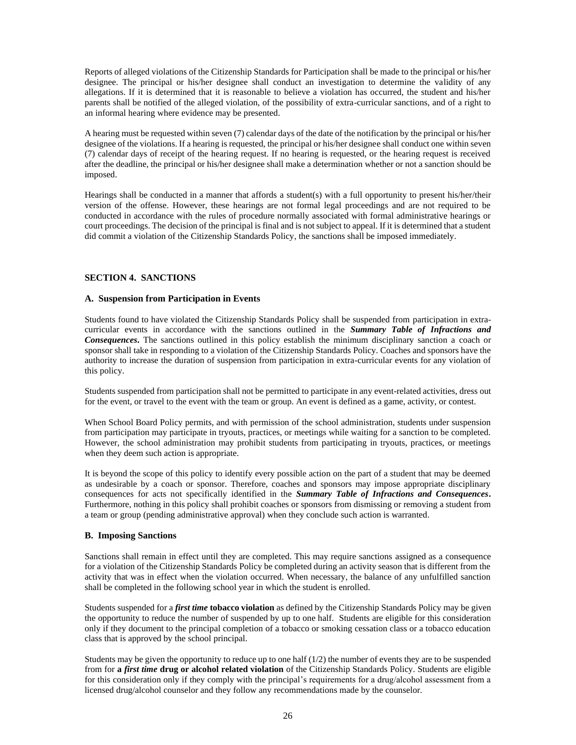Reports of alleged violations of the Citizenship Standards for Participation shall be made to the principal or his/her designee. The principal or his/her designee shall conduct an investigation to determine the validity of any allegations. If it is determined that it is reasonable to believe a violation has occurred, the student and his/her parents shall be notified of the alleged violation, of the possibility of extra-curricular sanctions, and of a right to an informal hearing where evidence may be presented.

A hearing must be requested within seven (7) calendar days of the date of the notification by the principal or his/her designee of the violations. If a hearing is requested, the principal or his/her designee shall conduct one within seven (7) calendar days of receipt of the hearing request. If no hearing is requested, or the hearing request is received after the deadline, the principal or his/her designee shall make a determination whether or not a sanction should be imposed.

Hearings shall be conducted in a manner that affords a student(s) with a full opportunity to present his/her/their version of the offense. However, these hearings are not formal legal proceedings and are not required to be conducted in accordance with the rules of procedure normally associated with formal administrative hearings or court proceedings. The decision of the principal is final and is not subject to appeal. If it is determined that a student did commit a violation of the Citizenship Standards Policy, the sanctions shall be imposed immediately.

#### **SECTION 4. SANCTIONS**

#### **A. Suspension from Participation in Events**

Students found to have violated the Citizenship Standards Policy shall be suspended from participation in extracurricular events in accordance with the sanctions outlined in the *Summary Table of Infractions and Consequences***.** The sanctions outlined in this policy establish the minimum disciplinary sanction a coach or sponsor shall take in responding to a violation of the Citizenship Standards Policy. Coaches and sponsors have the authority to increase the duration of suspension from participation in extra-curricular events for any violation of this policy.

Students suspended from participation shall not be permitted to participate in any event-related activities, dress out for the event, or travel to the event with the team or group. An event is defined as a game, activity, or contest.

When School Board Policy permits, and with permission of the school administration, students under suspension from participation may participate in tryouts, practices, or meetings while waiting for a sanction to be completed. However, the school administration may prohibit students from participating in tryouts, practices, or meetings when they deem such action is appropriate.

It is beyond the scope of this policy to identify every possible action on the part of a student that may be deemed as undesirable by a coach or sponsor. Therefore, coaches and sponsors may impose appropriate disciplinary consequences for acts not specifically identified in the *Summary Table of Infractions and Consequences***.**  Furthermore, nothing in this policy shall prohibit coaches or sponsors from dismissing or removing a student from a team or group (pending administrative approval) when they conclude such action is warranted.

#### **B. Imposing Sanctions**

Sanctions shall remain in effect until they are completed. This may require sanctions assigned as a consequence for a violation of the Citizenship Standards Policy be completed during an activity season that is different from the activity that was in effect when the violation occurred. When necessary, the balance of any unfulfilled sanction shall be completed in the following school year in which the student is enrolled.

Students suspended for a *first time* **tobacco violation** as defined by the Citizenship Standards Policy may be given the opportunity to reduce the number of suspended by up to one half. Students are eligible for this consideration only if they document to the principal completion of a tobacco or smoking cessation class or a tobacco education class that is approved by the school principal.

Students may be given the opportunity to reduce up to one half  $(1/2)$  the number of events they are to be suspended from for **a** *first time* **drug or alcohol related violation** of the Citizenship Standards Policy. Students are eligible for this consideration only if they comply with the principal's requirements for a drug/alcohol assessment from a licensed drug/alcohol counselor and they follow any recommendations made by the counselor.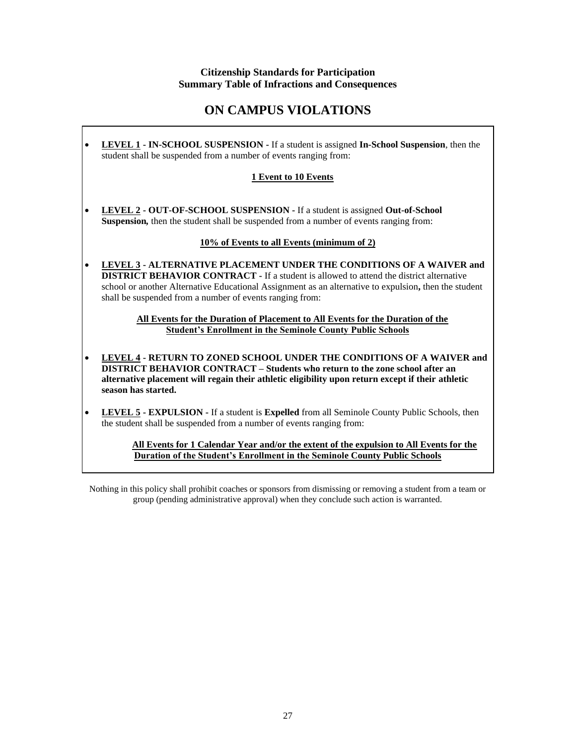# **Citizenship Standards for Participation Summary Table of Infractions and Consequences**

# **ON CAMPUS VIOLATIONS**

• **LEVEL 1 - IN-SCHOOL SUSPENSION -** If a student is assigned **In-School Suspension***,* then the student shall be suspended from a number of events ranging from:

# **1 Event to 10 Events**

• **LEVEL 2 - OUT-OF-SCHOOL SUSPENSION -** If a student is assigned **Out-of-School Suspension***,* then the student shall be suspended from a number of events ranging from:

## **10% of Events to all Events (minimum of 2)**

• **LEVEL 3 - ALTERNATIVE PLACEMENT UNDER THE CONDITIONS OF A WAIVER and DISTRICT BEHAVIOR CONTRACT -** If a student is allowed to attend the district alternative school or another Alternative Educational Assignment as an alternative to expulsion**,** then the student shall be suspended from a number of events ranging from:

> **All Events for the Duration of Placement to All Events for the Duration of the Student's Enrollment in the Seminole County Public Schools**

- **LEVEL 4 - RETURN TO ZONED SCHOOL UNDER THE CONDITIONS OF A WAIVER and DISTRICT BEHAVIOR CONTRACT – Students who return to the zone school after an alternative placement will regain their athletic eligibility upon return except if their athletic season has started.**
- **LEVEL 5 EXPULSION -** If a student is **Expelled** from all Seminole County Public Schools, then the student shall be suspended from a number of events ranging from:

**All Events for 1 Calendar Year and/or the extent of the expulsion to All Events for the Duration of the Student's Enrollment in the Seminole County Public Schools**

Nothing in this policy shall prohibit coaches or sponsors from dismissing or removing a student from a team or group (pending administrative approval) when they conclude such action is warranted.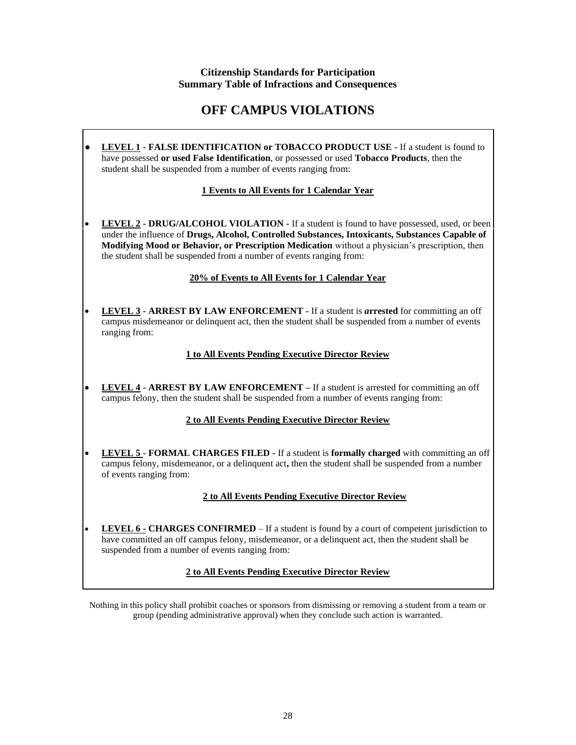# **Citizenship Standards for Participation Summary Table of Infractions and Consequences**

# **OFF CAMPUS VIOLATIONS**

**● LEVEL 1 - FALSE IDENTIFICATION or TOBACCO PRODUCT USE -** If a student is found to have possessed **or used False Identification**, or possessed or used **Tobacco Products***,* then the student shall be suspended from a number of events ranging from:

# **1 Events to All Events for 1 Calendar Year**

• **LEVEL 2 - DRUG/ALCOHOL VIOLATION -** If a student is found to have possessed, used, or been under the influence of **Drugs, Alcohol, Controlled Substances, Intoxicants, Substances Capable of Modifying Mood or Behavior, or Prescription Medication** without a physician's prescription, then the student shall be suspended from a number of events ranging from:

# **20% of Events to All Events for 1 Calendar Year**

• **LEVEL 3 - ARREST BY LAW ENFORCEMENT -** If a student is *a***rrested** for committing an off campus misdemeanor or delinquent act, then the student shall be suspended from a number of events ranging from:

# **1 to All Events Pending Executive Director Review**

• **LEVEL 4 - ARREST BY LAW ENFORCEMENT** *–* If a student is arrested for committing an off campus felony, then the student shall be suspended from a number of events ranging from:

# **2 to All Events Pending Executive Director Review**

• **LEVEL 5 - FORMAL CHARGES FILED -** If a student is **formally charged** with committing an off campus felony, misdemeanor, or a delinquent act**,** then the student shall be suspended from a number of events ranging from:

# **2 to All Events Pending Executive Director Review**

• **LEVEL 6 - CHARGES CONFIRMED** – If a student is found by a court of competent jurisdiction to have committed an off campus felony, misdemeanor, or a delinquent act, then the student shall be suspended from a number of events ranging from:

# **2 to All Events Pending Executive Director Review**

Nothing in this policy shall prohibit coaches or sponsors from dismissing or removing a student from a team or group (pending administrative approval) when they conclude such action is warranted.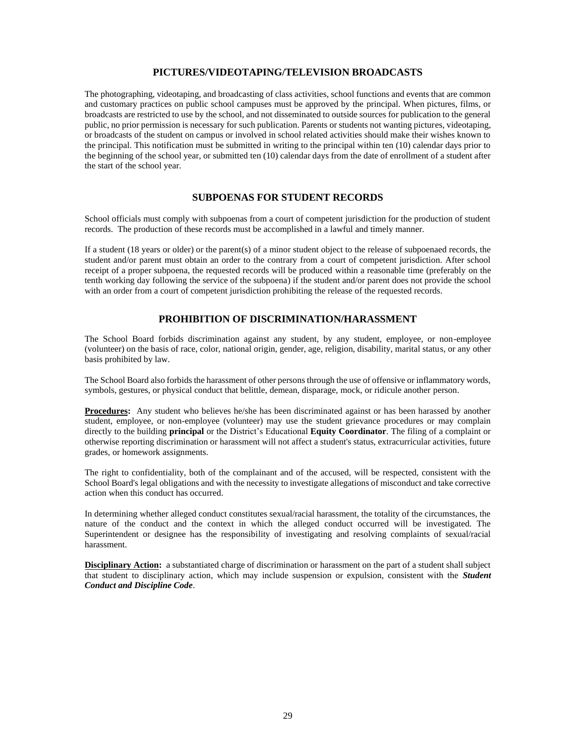## **PICTURES/VIDEOTAPING/TELEVISION BROADCASTS**

The photographing, videotaping, and broadcasting of class activities, school functions and events that are common and customary practices on public school campuses must be approved by the principal. When pictures, films, or broadcasts are restricted to use by the school, and not disseminated to outside sources for publication to the general public, no prior permission is necessary for such publication. Parents or students not wanting pictures, videotaping, or broadcasts of the student on campus or involved in school related activities should make their wishes known to the principal. This notification must be submitted in writing to the principal within ten (10) calendar days prior to the beginning of the school year, or submitted ten (10) calendar days from the date of enrollment of a student after the start of the school year.

#### **SUBPOENAS FOR STUDENT RECORDS**

School officials must comply with subpoenas from a court of competent jurisdiction for the production of student records. The production of these records must be accomplished in a lawful and timely manner.

If a student (18 years or older) or the parent(s) of a minor student object to the release of subpoenaed records, the student and/or parent must obtain an order to the contrary from a court of competent jurisdiction. After school receipt of a proper subpoena, the requested records will be produced within a reasonable time (preferably on the tenth working day following the service of the subpoena) if the student and/or parent does not provide the school with an order from a court of competent jurisdiction prohibiting the release of the requested records.

# **PROHIBITION OF DISCRIMINATION/HARASSMENT**

The School Board forbids discrimination against any student, by any student, employee, or non-employee (volunteer) on the basis of race, color, national origin, gender, age, religion, disability, marital status, or any other basis prohibited by law.

The School Board also forbids the harassment of other persons through the use of offensive or inflammatory words, symbols, gestures, or physical conduct that belittle, demean, disparage, mock, or ridicule another person.

**Procedures:** Any student who believes he/she has been discriminated against or has been harassed by another student, employee, or non-employee (volunteer) may use the student grievance procedures or may complain directly to the building **principal** or the District's Educational **Equity Coordinator**. The filing of a complaint or otherwise reporting discrimination or harassment will not affect a student's status, extracurricular activities, future grades, or homework assignments.

The right to confidentiality, both of the complainant and of the accused, will be respected, consistent with the School Board's legal obligations and with the necessity to investigate allegations of misconduct and take corrective action when this conduct has occurred.

In determining whether alleged conduct constitutes sexual/racial harassment, the totality of the circumstances, the nature of the conduct and the context in which the alleged conduct occurred will be investigated. The Superintendent or designee has the responsibility of investigating and resolving complaints of sexual/racial harassment.

**Disciplinary Action:** a substantiated charge of discrimination or harassment on the part of a student shall subject that student to disciplinary action, which may include suspension or expulsion, consistent with the *Student Conduct and Discipline Code*.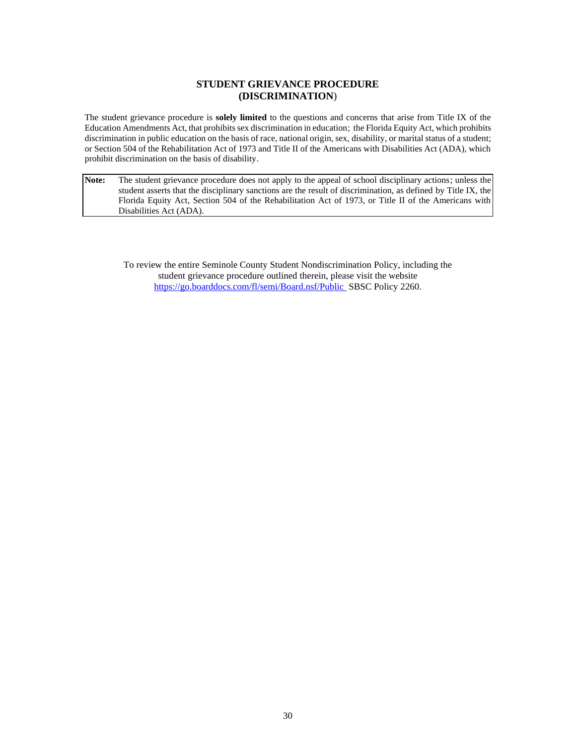## **STUDENT GRIEVANCE PROCEDURE (DISCRIMINATION**)

The student grievance procedure is **solely limited** to the questions and concerns that arise from Title IX of the Education Amendments Act, that prohibits sex discrimination in education; the Florida Equity Act, which prohibits discrimination in public education on the basis of race, national origin, sex, disability, or marital status of a student; or Section 504 of the Rehabilitation Act of 1973 and Title II of the Americans with Disabilities Act (ADA), which prohibit discrimination on the basis of disability.

**Note:** The student grievance procedure does not apply to the appeal of school disciplinary actions; unless the student asserts that the disciplinary sanctions are the result of discrimination, as defined by Title IX, the Florida Equity Act, Section 504 of the Rehabilitation Act of 1973, or Title II of the Americans with Disabilities Act (ADA).

To review the entire Seminole County Student Nondiscrimination Policy, including the student grievance procedure outlined therein, please visit the website <https://go.boarddocs.com/fl/semi/Board.nsf/Public> SBSC Policy 2260.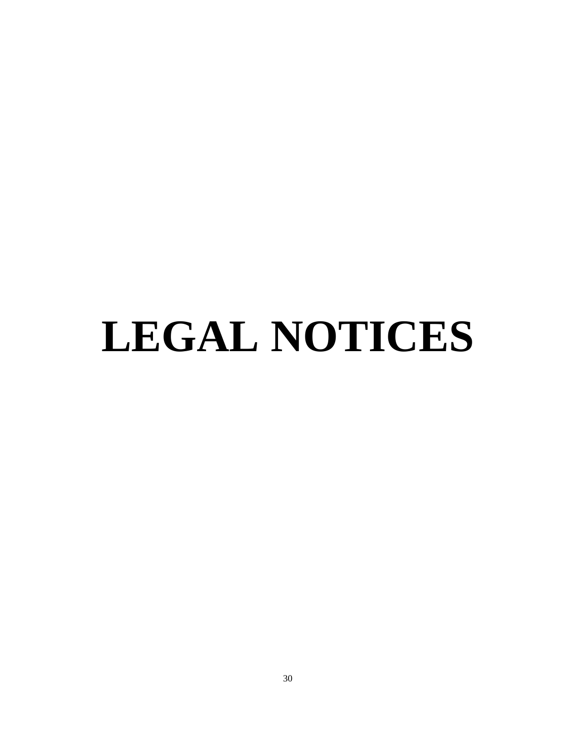# **LEGAL NOTICES**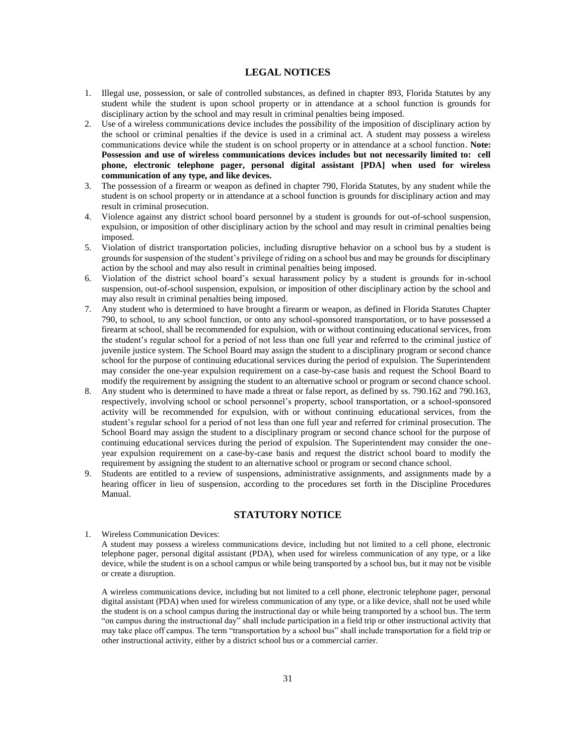#### **LEGAL NOTICES**

- 1. Illegal use, possession, or sale of controlled substances, as defined in chapter 893, Florida Statutes by any student while the student is upon school property or in attendance at a school function is grounds for disciplinary action by the school and may result in criminal penalties being imposed.
- 2. Use of a wireless communications device includes the possibility of the imposition of disciplinary action by the school or criminal penalties if the device is used in a criminal act. A student may possess a wireless communications device while the student is on school property or in attendance at a school function. **Note: Possession and use of wireless communications devices includes but not necessarily limited to: cell phone, electronic telephone pager, personal digital assistant [PDA] when used for wireless communication of any type, and like devices.**
- 3. The possession of a firearm or weapon as defined in chapter 790, Florida Statutes, by any student while the student is on school property or in attendance at a school function is grounds for disciplinary action and may result in criminal prosecution.
- 4. Violence against any district school board personnel by a student is grounds for out-of-school suspension, expulsion, or imposition of other disciplinary action by the school and may result in criminal penalties being imposed.
- 5. Violation of district transportation policies, including disruptive behavior on a school bus by a student is grounds for suspension of the student's privilege of riding on a school bus and may be grounds for disciplinary action by the school and may also result in criminal penalties being imposed.
- 6. Violation of the district school board's sexual harassment policy by a student is grounds for in-school suspension, out-of-school suspension, expulsion, or imposition of other disciplinary action by the school and may also result in criminal penalties being imposed.
- 7. Any student who is determined to have brought a firearm or weapon, as defined in Florida Statutes Chapter 790, to school, to any school function, or onto any school-sponsored transportation, or to have possessed a firearm at school, shall be recommended for expulsion, with or without continuing educational services, from the student's regular school for a period of not less than one full year and referred to the criminal justice of juvenile justice system. The School Board may assign the student to a disciplinary program or second chance school for the purpose of continuing educational services during the period of expulsion. The Superintendent may consider the one-year expulsion requirement on a case-by-case basis and request the School Board to modify the requirement by assigning the student to an alternative school or program or second chance school.
- 8. Any student who is determined to have made a threat or false report, as defined by ss. 790.162 and 790.163, respectively, involving school or school personnel's property, school transportation, or a school-sponsored activity will be recommended for expulsion, with or without continuing educational services, from the student's regular school for a period of not less than one full year and referred for criminal prosecution. The School Board may assign the student to a disciplinary program or second chance school for the purpose of continuing educational services during the period of expulsion. The Superintendent may consider the oneyear expulsion requirement on a case-by-case basis and request the district school board to modify the requirement by assigning the student to an alternative school or program or second chance school.
- 9. Students are entitled to a review of suspensions, administrative assignments, and assignments made by a hearing officer in lieu of suspension, according to the procedures set forth in the Discipline Procedures Manual.

#### **STATUTORY NOTICE**

#### 1. Wireless Communication Devices:

A student may possess a wireless communications device, including but not limited to a cell phone, electronic telephone pager, personal digital assistant (PDA), when used for wireless communication of any type, or a like device, while the student is on a school campus or while being transported by a school bus, but it may not be visible or create a disruption.

A wireless communications device, including but not limited to a cell phone, electronic telephone pager, personal digital assistant (PDA) when used for wireless communication of any type, or a like device, shall not be used while the student is on a school campus during the instructional day or while being transported by a school bus. The term "on campus during the instructional day" shall include participation in a field trip or other instructional activity that may take place off campus. The term "transportation by a school bus" shall include transportation for a field trip or other instructional activity, either by a district school bus or a commercial carrier.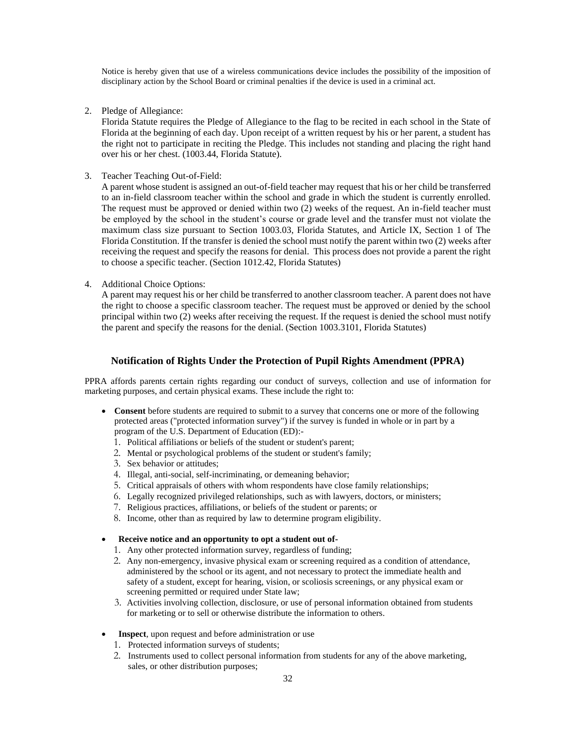Notice is hereby given that use of a wireless communications device includes the possibility of the imposition of disciplinary action by the School Board or criminal penalties if the device is used in a criminal act.

2. Pledge of Allegiance:

Florida Statute requires the Pledge of Allegiance to the flag to be recited in each school in the State of Florida at the beginning of each day. Upon receipt of a written request by his or her parent, a student has the right not to participate in reciting the Pledge. This includes not standing and placing the right hand over his or her chest. (1003.44, Florida Statute).

3. Teacher Teaching Out-of-Field:

A parent whose student is assigned an out-of-field teacher may request that his or her child be transferred to an in-field classroom teacher within the school and grade in which the student is currently enrolled. The request must be approved or denied within two (2) weeks of the request. An in-field teacher must be employed by the school in the student's course or grade level and the transfer must not violate the maximum class size pursuant to Section 1003.03, Florida Statutes, and Article IX, Section 1 of The Florida Constitution. If the transfer is denied the school must notify the parent within two (2) weeks after receiving the request and specify the reasons for denial. This process does not provide a parent the right to choose a specific teacher. (Section 1012.42, Florida Statutes)

4. Additional Choice Options:

A parent may request his or her child be transferred to another classroom teacher. A parent does not have the right to choose a specific classroom teacher. The request must be approved or denied by the school principal within two (2) weeks after receiving the request. If the request is denied the school must notify the parent and specify the reasons for the denial. (Section 1003.3101, Florida Statutes)

#### **Notification of Rights Under the Protection of Pupil Rights Amendment (PPRA)**

PPRA affords parents certain rights regarding our conduct of surveys, collection and use of information for marketing purposes, and certain physical exams. These include the right to:

- **Consent** before students are required to submit to a survey that concerns one or more of the following protected areas ("protected information survey") if the survey is funded in whole or in part by a program of the U.S. Department of Education (ED):-
	- 1. Political affiliations or beliefs of the student or student's parent;
	- 2. Mental or psychological problems of the student or student's family;
	- 3. Sex behavior or attitudes;
	- 4. Illegal, anti-social, self-incriminating, or demeaning behavior;
	- 5. Critical appraisals of others with whom respondents have close family relationships;
	- 6. Legally recognized privileged relationships, such as with lawyers, doctors, or ministers;
	- 7. Religious practices, affiliations, or beliefs of the student or parents; or
	- 8. Income, other than as required by law to determine program eligibility.

#### • **Receive notice and an opportunity to opt a student out of-**

- 1. Any other protected information survey, regardless of funding;
- 2. Any non-emergency, invasive physical exam or screening required as a condition of attendance, administered by the school or its agent, and not necessary to protect the immediate health and safety of a student, except for hearing, vision, or scoliosis screenings, or any physical exam or screening permitted or required under State law;
- 3. Activities involving collection, disclosure, or use of personal information obtained from students for marketing or to sell or otherwise distribute the information to others.
- **Inspect**, upon request and before administration or use
	- 1. Protected information surveys of students;
	- 2. Instruments used to collect personal information from students for any of the above marketing, sales, or other distribution purposes;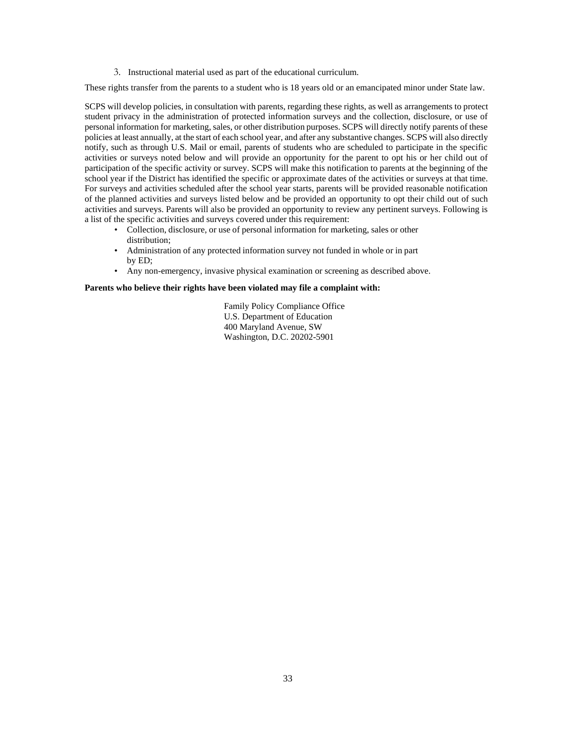3. Instructional material used as part of the educational curriculum.

These rights transfer from the parents to a student who is 18 years old or an emancipated minor under State law.

SCPS will develop policies, in consultation with parents, regarding these rights, as well as arrangements to protect student privacy in the administration of protected information surveys and the collection, disclosure, or use of personal information for marketing, sales, or other distribution purposes. SCPS will directly notify parents of these policies at least annually, at the start of each school year, and after any substantive changes. SCPS will also directly notify, such as through U.S. Mail or email, parents of students who are scheduled to participate in the specific activities or surveys noted below and will provide an opportunity for the parent to opt his or her child out of participation of the specific activity or survey. SCPS will make this notification to parents at the beginning of the school year if the District has identified the specific or approximate dates of the activities or surveys at that time. For surveys and activities scheduled after the school year starts, parents will be provided reasonable notification of the planned activities and surveys listed below and be provided an opportunity to opt their child out of such activities and surveys. Parents will also be provided an opportunity to review any pertinent surveys. Following is a list of the specific activities and surveys covered under this requirement:

- Collection, disclosure, or use of personal information for marketing, sales or other distribution;
- Administration of any protected information survey not funded in whole or in part by ED;
- Any non-emergency, invasive physical examination or screening as described above.

#### **Parents who believe their rights have been violated may file a complaint with:**

Family Policy Compliance Office U.S. Department of Education 400 Maryland Avenue, SW Washington, D.C. 20202-5901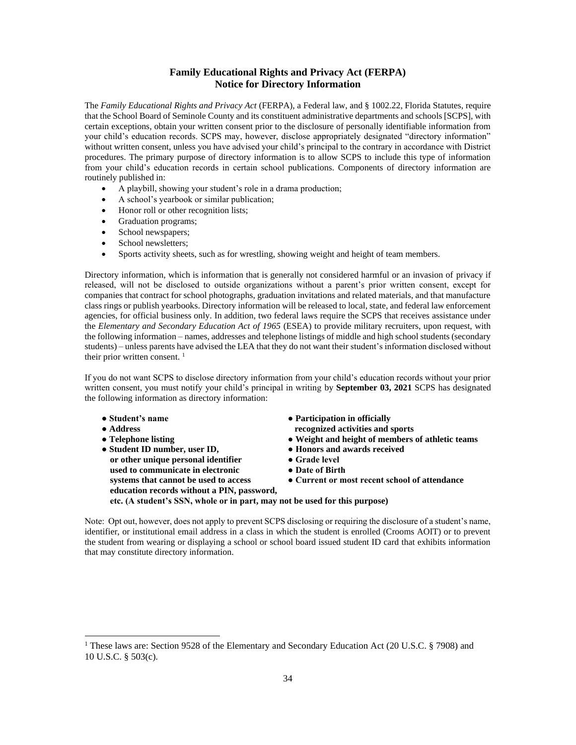# **Family Educational Rights and Privacy Act (FERPA) Notice for Directory Information**

The *Family Educational Rights and Privacy Act* (FERPA), a Federal law, and § 1002.22, Florida Statutes, require that the School Board of Seminole County and its constituent administrative departments and schools [SCPS], with certain exceptions, obtain your written consent prior to the disclosure of personally identifiable information from your child's education records. SCPS may, however, disclose appropriately designated "directory information" without written consent, unless you have advised your child's principal to the contrary in accordance with District procedures. The primary purpose of directory information is to allow SCPS to include this type of information from your child's education records in certain school publications. Components of directory information are routinely published in:

- A playbill, showing your student's role in a drama production;
- A school's yearbook or similar publication;
- Honor roll or other recognition lists;
- Graduation programs;
- School newspapers;
- School newsletters;
- Sports activity sheets, such as for wrestling, showing weight and height of team members.

Directory information, which is information that is generally not considered harmful or an invasion of privacy if released, will not be disclosed to outside organizations without a parent's prior written consent, except for companies that contract for school photographs, graduation invitations and related materials, and that manufacture class rings or publish yearbooks. Directory information will be released to local, state, and federal law enforcement agencies, for official business only. In addition, two federal laws require the SCPS that receives assistance under the *Elementary and Secondary Education Act of 1965* (ESEA) to provide military recruiters, upon request, with the following information – names, addresses and telephone listings of middle and high school students (secondary students) – unless parents have advised the LEA that they do not want their student's information disclosed without their prior written consent.  $<sup>1</sup>$ </sup>

If you do not want SCPS to disclose directory information from your child's education records without your prior written consent, you must notify your child's principal in writing by **September 03, 2021** SCPS has designated the following information as directory information:

- **Student's name Participation in officially**
- **Address recognized activities and sports**
- **Telephone listing Weight and height of members of athletic teams**
- Student ID number, user ID, Honors and awards received **or other unique personal identifier** <br>**•** Grade level<br>**•** Date of Birth used to communicate in electronic **systems that cannot be used to access •• Current or most recent school of attendance education records without a PIN, password, etc. (A student's SSN, whole or in part, may not be used for this purpose)**

Note: Opt out, however, does not apply to prevent SCPS disclosing or requiring the disclosure of a student's name, identifier, or institutional email address in a class in which the student is enrolled (Crooms AOIT) or to prevent the student from wearing or displaying a school or school board issued student ID card that exhibits information that may constitute directory information.

<sup>&</sup>lt;sup>1</sup> These laws are: Section 9528 of the Elementary and Secondary Education Act (20 U.S.C. § 7908) and 10 U.S.C. § 503(c).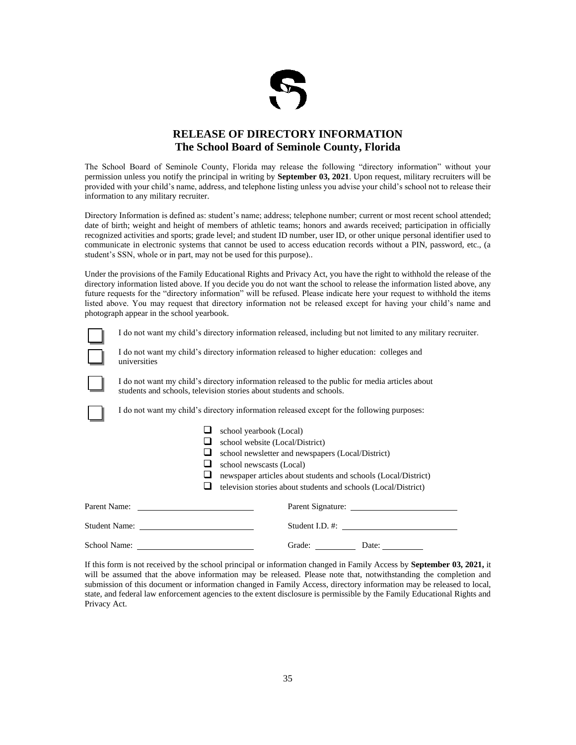

# **RELEASE OF DIRECTORY INFORMATION The School Board of Seminole County, Florida**

The School Board of Seminole County, Florida may release the following "directory information" without your permission unless you notify the principal in writing by **September 03, 2021**. Upon request, military recruiters will be provided with your child's name, address, and telephone listing unless you advise your child's school not to release their information to any military recruiter.

Directory Information is defined as: student's name; address; telephone number; current or most recent school attended; date of birth; weight and height of members of athletic teams; honors and awards received; participation in officially recognized activities and sports; grade level; and student ID number, user ID, or other unique personal identifier used to communicate in electronic systems that cannot be used to access education records without a PIN, password, etc., (a student's SSN, whole or in part, may not be used for this purpose)..

Under the provisions of the Family Educational Rights and Privacy Act, you have the right to withhold the release of the directory information listed above. If you decide you do not want the school to release the information listed above, any future requests for the "directory information" will be refused. Please indicate here your request to withhold the items listed above. You may request that directory information not be released except for having your child's name and photograph appear in the school yearbook.

I do not want my child's directory information released, including but not limited to any military recruiter.



I do not want my child's directory information released to higher education: colleges and universities



I do not want my child's directory information released to the public for media articles about students and schools, television stories about students and schools.

I do not want my child's directory information released except for the following purposes:

| school yearbook (Local)                                        |
|----------------------------------------------------------------|
| school website (Local/District)                                |
| school newsletter and newspapers (Local/District)              |
| school newscasts (Local)                                       |
| newspaper articles about students and schools (Local/District) |
| television stories about students and schools (Local/District) |
| Parent Signature:                                              |
|                                                                |
| Grade:<br>Date:                                                |

If this form is not received by the school principal or information changed in Family Access by **September 03, 2021,** it will be assumed that the above information may be released. Please note that, notwithstanding the completion and submission of this document or information changed in Family Access, directory information may be released to local, state, and federal law enforcement agencies to the extent disclosure is permissible by the Family Educational Rights and Privacy Act.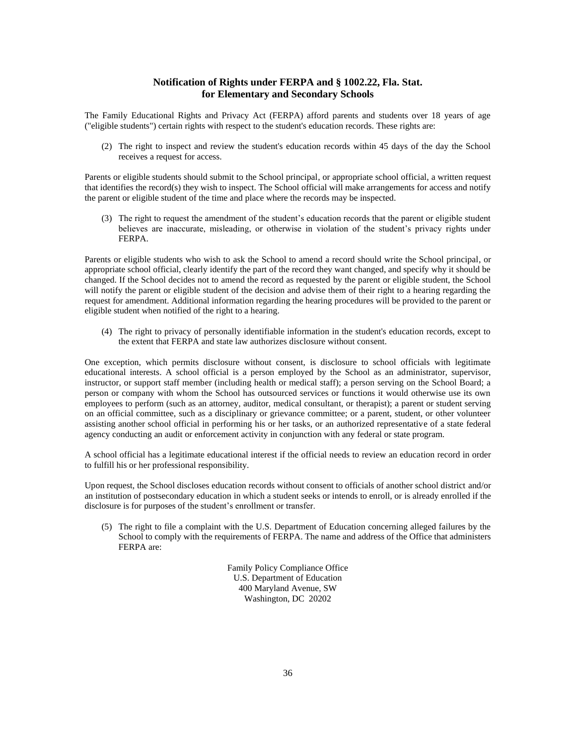#### **Notification of Rights under FERPA and § 1002.22, Fla. Stat. for Elementary and Secondary Schools**

The Family Educational Rights and Privacy Act (FERPA) afford parents and students over 18 years of age ("eligible students") certain rights with respect to the student's education records. These rights are:

(2) The right to inspect and review the student's education records within 45 days of the day the School receives a request for access.

Parents or eligible students should submit to the School principal, or appropriate school official, a written request that identifies the record(s) they wish to inspect. The School official will make arrangements for access and notify the parent or eligible student of the time and place where the records may be inspected.

(3) The right to request the amendment of the student's education records that the parent or eligible student believes are inaccurate, misleading, or otherwise in violation of the student's privacy rights under FERPA.

Parents or eligible students who wish to ask the School to amend a record should write the School principal, or appropriate school official, clearly identify the part of the record they want changed, and specify why it should be changed. If the School decides not to amend the record as requested by the parent or eligible student, the School will notify the parent or eligible student of the decision and advise them of their right to a hearing regarding the request for amendment. Additional information regarding the hearing procedures will be provided to the parent or eligible student when notified of the right to a hearing.

(4) The right to privacy of personally identifiable information in the student's education records, except to the extent that FERPA and state law authorizes disclosure without consent.

One exception, which permits disclosure without consent, is disclosure to school officials with legitimate educational interests. A school official is a person employed by the School as an administrator, supervisor, instructor, or support staff member (including health or medical staff); a person serving on the School Board; a person or company with whom the School has outsourced services or functions it would otherwise use its own employees to perform (such as an attorney, auditor, medical consultant, or therapist); a parent or student serving on an official committee, such as a disciplinary or grievance committee; or a parent, student, or other volunteer assisting another school official in performing his or her tasks, or an authorized representative of a state federal agency conducting an audit or enforcement activity in conjunction with any federal or state program.

A school official has a legitimate educational interest if the official needs to review an education record in order to fulfill his or her professional responsibility.

Upon request, the School discloses education records without consent to officials of another school district and/or an institution of postsecondary education in which a student seeks or intends to enroll, or is already enrolled if the disclosure is for purposes of the student's enrollment or transfer.

(5) The right to file a complaint with the U.S. Department of Education concerning alleged failures by the School to comply with the requirements of FERPA. The name and address of the Office that administers FERPA are:

> Family Policy Compliance Office U.S. Department of Education 400 Maryland Avenue, SW Washington, DC 20202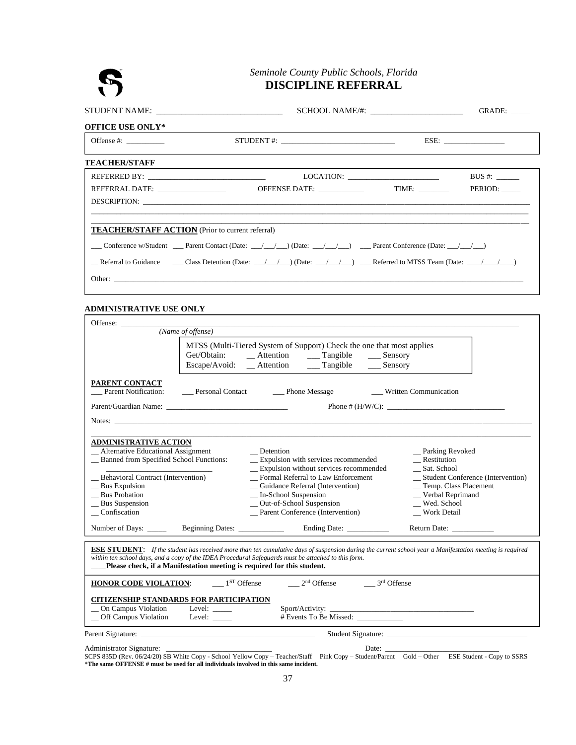# **DISCIPLINE REFERRAL**

|                                                         |                                                                                                                       | GRADE: |                        |  |  |  |  |
|---------------------------------------------------------|-----------------------------------------------------------------------------------------------------------------------|--------|------------------------|--|--|--|--|
| <b>OFFICE USE ONLY*</b>                                 |                                                                                                                       |        |                        |  |  |  |  |
| Offense $#$ :                                           |                                                                                                                       |        |                        |  |  |  |  |
| <b>TEACHER/STAFF</b>                                    |                                                                                                                       |        |                        |  |  |  |  |
|                                                         |                                                                                                                       |        | BUS #: $\qquad \qquad$ |  |  |  |  |
|                                                         | OFFENSE DATE:                                                                                                         | TIME:  | PERIOD:                |  |  |  |  |
|                                                         |                                                                                                                       |        |                        |  |  |  |  |
|                                                         |                                                                                                                       |        |                        |  |  |  |  |
| <b>TEACHER/STAFF ACTION</b> (Prior to current referral) |                                                                                                                       |        |                        |  |  |  |  |
|                                                         | Conference w/Student ___ Parent Contact (Date: __/ __/ _) (Date: __/ __/ __) ___ Parent Conference (Date: __/ __/ __) |        |                        |  |  |  |  |
|                                                         | Referral to Guidance Class Detention (Date: $\angle$ ) (Date: $\angle$ ) Referred to MTSS Team (Date: $\angle$ / )    |        |                        |  |  |  |  |
|                                                         |                                                                                                                       |        |                        |  |  |  |  |

# **ADMINISTRATIVE USE ONLY**

|                                                                                                                                                                                                                               |                                | Seminole County Public Schools, Florida<br><b>DISCIPLINE REFERRAL</b>                                                                                                         |                                                                                                                                                     |                                                         |
|-------------------------------------------------------------------------------------------------------------------------------------------------------------------------------------------------------------------------------|--------------------------------|-------------------------------------------------------------------------------------------------------------------------------------------------------------------------------|-----------------------------------------------------------------------------------------------------------------------------------------------------|---------------------------------------------------------|
|                                                                                                                                                                                                                               |                                |                                                                                                                                                                               |                                                                                                                                                     |                                                         |
| STUDENT NAME: __________________________________                                                                                                                                                                              |                                |                                                                                                                                                                               |                                                                                                                                                     |                                                         |
| <b>OFFICE USE ONLY*</b>                                                                                                                                                                                                       |                                |                                                                                                                                                                               |                                                                                                                                                     |                                                         |
| Offense #: $\_\_\_\_\_\_\_\_\_\_\_\_$                                                                                                                                                                                         |                                | $STUDENT :: \underline{\hspace{2cm}}$                                                                                                                                         |                                                                                                                                                     |                                                         |
| <b>TEACHER/STAFF</b>                                                                                                                                                                                                          |                                |                                                                                                                                                                               |                                                                                                                                                     |                                                         |
|                                                                                                                                                                                                                               |                                |                                                                                                                                                                               |                                                                                                                                                     | $BUS \#$ :                                              |
| REFERRAL DATE: ________________                                                                                                                                                                                               |                                | OFFENSE DATE: ____________                                                                                                                                                    | TIME: $\frac{1}{\sqrt{1-\frac{1}{2}}}\frac{1}{\sqrt{1-\frac{1}{2}}\sqrt{1-\frac{1}{2}}\sqrt{1-\frac{1}{2}}\sqrt{1-\frac{1}{2}}\sqrt{1-\frac{1}{2}}$ | PERIOD:                                                 |
|                                                                                                                                                                                                                               |                                |                                                                                                                                                                               |                                                                                                                                                     |                                                         |
| <b>TEACHER/STAFF ACTION</b> (Prior to current referral)                                                                                                                                                                       |                                |                                                                                                                                                                               |                                                                                                                                                     |                                                         |
|                                                                                                                                                                                                                               |                                | Conference w/Student ___ Parent Contact (Date: __/ __/ __) (Date: __/ __/ __) ___ Parent Conference (Date: __/ __/ __)                                                        |                                                                                                                                                     |                                                         |
|                                                                                                                                                                                                                               |                                | Referral to Guidance ______ Class Detention (Date: ___/___/___) (Date: __/___/___) ____ Referred to MTSS Team (Date: ___/___/___)                                             |                                                                                                                                                     |                                                         |
|                                                                                                                                                                                                                               |                                |                                                                                                                                                                               |                                                                                                                                                     |                                                         |
|                                                                                                                                                                                                                               |                                |                                                                                                                                                                               |                                                                                                                                                     |                                                         |
| <b>ADMINISTRATIVE USE ONLY</b>                                                                                                                                                                                                |                                |                                                                                                                                                                               |                                                                                                                                                     |                                                         |
| Offense:                                                                                                                                                                                                                      | (Name of offense)              |                                                                                                                                                                               |                                                                                                                                                     |                                                         |
|                                                                                                                                                                                                                               |                                |                                                                                                                                                                               |                                                                                                                                                     |                                                         |
|                                                                                                                                                                                                                               | Get/Obtain:                    | MTSS (Multi-Tiered System of Support) Check the one that most applies<br>__ Attention ____ Tangible ____ Sensory                                                              |                                                                                                                                                     |                                                         |
|                                                                                                                                                                                                                               |                                | Escape/Avoid: _ Attention _ _ Tangible _ _ Sensory                                                                                                                            |                                                                                                                                                     |                                                         |
| <b>PARENT CONTACT</b>                                                                                                                                                                                                         |                                | Parent Notification: ______ Personal Contact _________ Phone Message _________________ Written Communication                                                                  |                                                                                                                                                     |                                                         |
| Parent/Guardian Name: 2008. En al 2009 and 2008. The contract of the contract of the contract of the contract of the contract of the contract of the contract of the contract of the contract of the contract of the contract |                                |                                                                                                                                                                               |                                                                                                                                                     |                                                         |
|                                                                                                                                                                                                                               |                                |                                                                                                                                                                               |                                                                                                                                                     |                                                         |
| <b>ADMINISTRATIVE ACTION</b>                                                                                                                                                                                                  |                                |                                                                                                                                                                               |                                                                                                                                                     |                                                         |
| _ Alternative Educational Assignment                                                                                                                                                                                          |                                | _Detention                                                                                                                                                                    | _ Parking Revoked                                                                                                                                   |                                                         |
| _ Banned from Specified School Functions:                                                                                                                                                                                     |                                | _ Expulsion with services recommended<br>_ Expulsion without services recommended                                                                                             | $R$ estitution<br>__ Sat. School                                                                                                                    |                                                         |
| _ Behavioral Contract (Intervention)                                                                                                                                                                                          |                                | _Formal Referral to Law Enforcement                                                                                                                                           |                                                                                                                                                     | _ Student Conference (Intervention)                     |
| <b>Bus Expulsion</b>                                                                                                                                                                                                          |                                | _ Guidance Referral (Intervention)                                                                                                                                            |                                                                                                                                                     | _Temp. Class Placement                                  |
| <b>Bus Probation</b><br>_Bus Suspension                                                                                                                                                                                       |                                | _ In-School Suspension<br>_ Out-of-School Suspension                                                                                                                          | _ Verbal Reprimand<br>Wed. School                                                                                                                   |                                                         |
| $\_$ Confiscation                                                                                                                                                                                                             |                                | Parent Conference (Intervention)                                                                                                                                              | <b>Work Detail</b>                                                                                                                                  |                                                         |
| Number of Days: _____                                                                                                                                                                                                         | Beginning Dates: _____________ |                                                                                                                                                                               |                                                                                                                                                     | Return Date: ___________                                |
|                                                                                                                                                                                                                               |                                | <b>ESE STUDENT:</b> If the student has received more than ten cumulative days of suspension during the current school year a Manifestation meeting is required                |                                                                                                                                                     |                                                         |
|                                                                                                                                                                                                                               |                                | within ten school days, and a copy of the IDEA Procedural Safeguards must be attached to this form.<br>Please check, if a Manifestation meeting is required for this student. |                                                                                                                                                     |                                                         |
| <b>HONOR CODE VIOLATION:</b>                                                                                                                                                                                                  | $1ST$ Offense                  | $2nd$ Offense                                                                                                                                                                 | 3 <sup>rd</sup> Offense                                                                                                                             |                                                         |
| <b>CITIZENSHIP STANDARDS FOR PARTICIPATION</b>                                                                                                                                                                                |                                |                                                                                                                                                                               |                                                                                                                                                     |                                                         |
| _ On Campus Violation                                                                                                                                                                                                         | Level: $\_\_$                  |                                                                                                                                                                               |                                                                                                                                                     |                                                         |
| _Off Campus Violation                                                                                                                                                                                                         | Level: $\_\_$                  | # Events To Be Missed: _____________                                                                                                                                          |                                                                                                                                                     | <u> 1989 - Johann Barbara, martin amerikan basar da</u> |
|                                                                                                                                                                                                                               |                                |                                                                                                                                                                               |                                                                                                                                                     |                                                         |
| Administrator Signature:                                                                                                                                                                                                      |                                | SCPS 835D (Rev. 06/24/20) SB White Copy - School Yellow Copy - Teacher/Staff Pink Copy - Student/Parent Gold - Other ESE Student - Copy to SSRS                               |                                                                                                                                                     |                                                         |
| *The same OFFENSE # must be used for all individuals involved in this same incident.                                                                                                                                          |                                |                                                                                                                                                                               |                                                                                                                                                     |                                                         |
|                                                                                                                                                                                                                               |                                | 37                                                                                                                                                                            |                                                                                                                                                     |                                                         |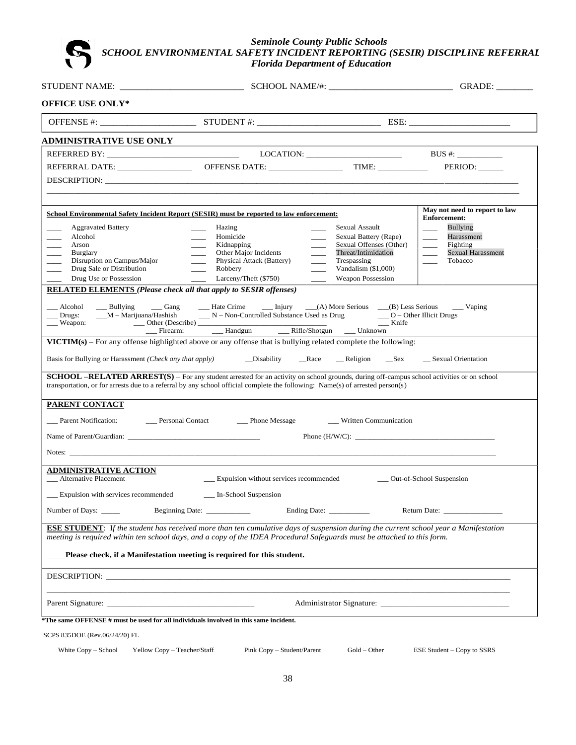# *SCHOOL ENVIRONMENTAL SAFETY INCIDENT REPORTING (SESIR) DISCIPLINE REFERRAL Florida Department of Education*

|                                                                                                                                                                             |                                                                                                                                                                                                                                                                                  |                                    | GRADE:                                 |  |  |  |  |  |  |
|-----------------------------------------------------------------------------------------------------------------------------------------------------------------------------|----------------------------------------------------------------------------------------------------------------------------------------------------------------------------------------------------------------------------------------------------------------------------------|------------------------------------|----------------------------------------|--|--|--|--|--|--|
| <b>OFFICE USE ONLY*</b>                                                                                                                                                     |                                                                                                                                                                                                                                                                                  |                                    |                                        |  |  |  |  |  |  |
|                                                                                                                                                                             |                                                                                                                                                                                                                                                                                  |                                    |                                        |  |  |  |  |  |  |
| <b>ADMINISTRATIVE USE ONLY</b>                                                                                                                                              |                                                                                                                                                                                                                                                                                  |                                    |                                        |  |  |  |  |  |  |
|                                                                                                                                                                             |                                                                                                                                                                                                                                                                                  | $\text{LOCATION:}$ BUS #:          |                                        |  |  |  |  |  |  |
|                                                                                                                                                                             |                                                                                                                                                                                                                                                                                  |                                    | PERIOD:                                |  |  |  |  |  |  |
|                                                                                                                                                                             |                                                                                                                                                                                                                                                                                  |                                    |                                        |  |  |  |  |  |  |
|                                                                                                                                                                             | <b>School Environmental Safety Incident Report (SESIR) must be reported to law enforcement:</b>                                                                                                                                                                                  |                                    | May not need to report to law          |  |  |  |  |  |  |
| <b>Aggravated Battery</b>                                                                                                                                                   | Hazing                                                                                                                                                                                                                                                                           | Sexual Assault                     | <b>Enforcement:</b><br><b>Bullying</b> |  |  |  |  |  |  |
| Alcohol                                                                                                                                                                     | Homicide                                                                                                                                                                                                                                                                         | Sexual Battery (Rape)              | Harassment                             |  |  |  |  |  |  |
| Arson                                                                                                                                                                       | Kidnapping                                                                                                                                                                                                                                                                       | Sexual Offenses (Other)            | Fighting<br>$\overline{\phantom{0}}$   |  |  |  |  |  |  |
| Burglary<br>Disruption on Campus/Major                                                                                                                                      | Other Major Incidents<br>$\overline{\phantom{0}}$<br>Physical Attack (Battery)                                                                                                                                                                                                   | Threat/Intimidation<br>Trespassing | <b>Sexual Harassment</b><br>Tobacco    |  |  |  |  |  |  |
| Drug Sale or Distribution                                                                                                                                                   | $\frac{1}{1}$<br>$\frac{1}{2}$<br>Robbery                                                                                                                                                                                                                                        | Vandalism (\$1,000)                |                                        |  |  |  |  |  |  |
| Drug Use or Possession                                                                                                                                                      | Larceny/Theft (\$750)<br>$\mathcal{L}^{\mathcal{L}}$ .                                                                                                                                                                                                                           | <b>Weapon Possession</b>           |                                        |  |  |  |  |  |  |
| <b>RELATED ELEMENTS (Please check all that apply to SESIR offenses)</b>                                                                                                     |                                                                                                                                                                                                                                                                                  |                                    |                                        |  |  |  |  |  |  |
| __ Bullying __ Gang<br>Alcohol<br>$\rule{1em}{0.15mm}$ Drugs:                                                                                                               | __ Hate Crime ______ Injury _____(A) More Serious ____(B) Less Serious<br>$M - \text{Marijuana/Hashish}$ $N - \text{Non-Controlled Substance Used as Drug}$ $Q - \text{Other Illicit Drugs}$                                                                                     |                                    | $\_\_$ Vaping                          |  |  |  |  |  |  |
| __ Weapon:                                                                                                                                                                  |                                                                                                                                                                                                                                                                                  | $\_\_\$ Knife                      |                                        |  |  |  |  |  |  |
|                                                                                                                                                                             |                                                                                                                                                                                                                                                                                  |                                    |                                        |  |  |  |  |  |  |
|                                                                                                                                                                             |                                                                                                                                                                                                                                                                                  |                                    |                                        |  |  |  |  |  |  |
|                                                                                                                                                                             | VICTIM(s) – For any offense highlighted above or any offense that is bullying related complete the following:                                                                                                                                                                    |                                    |                                        |  |  |  |  |  |  |
|                                                                                                                                                                             |                                                                                                                                                                                                                                                                                  |                                    |                                        |  |  |  |  |  |  |
|                                                                                                                                                                             | <b>SCHOOL -RELATED ARREST(S)</b> - For any student arrested for an activity on school grounds, during off-campus school activities or on school<br>transportation, or for arrests due to a referral by any school official complete the following: Name(s) of arrested person(s) |                                    |                                        |  |  |  |  |  |  |
| <b>PARENT CONTACT</b>                                                                                                                                                       |                                                                                                                                                                                                                                                                                  |                                    |                                        |  |  |  |  |  |  |
|                                                                                                                                                                             | __ Parent Notification: _______ Personal Contact _______ Phone Message                                                                                                                                                                                                           | __ Written Communication           |                                        |  |  |  |  |  |  |
|                                                                                                                                                                             |                                                                                                                                                                                                                                                                                  |                                    |                                        |  |  |  |  |  |  |
|                                                                                                                                                                             | Notes: Notes: 2008. The contract of the contract of the contract of the contract of the contract of the contract of the contract of the contract of the contract of the contract of the contract of the contract of the contra                                                   |                                    |                                        |  |  |  |  |  |  |
| <u>ADMINISTRATIVE ACTION</u><br><b>Alternative Placement</b>                                                                                                                | _ Expulsion without services recommended                                                                                                                                                                                                                                         |                                    | __ Out-of-School Suspension            |  |  |  |  |  |  |
| Expulsion with services recommended                                                                                                                                         | In-School Suspension                                                                                                                                                                                                                                                             |                                    |                                        |  |  |  |  |  |  |
| Number of Days: ______                                                                                                                                                      | Beginning Date: __________                                                                                                                                                                                                                                                       | Ending Date: _____________         | Return Date:                           |  |  |  |  |  |  |
|                                                                                                                                                                             | <b>ESE STUDENT:</b> If the student has received more than ten cumulative days of suspension during the current school year a Manifestation<br>meeting is required within ten school days, and a copy of the IDEA Procedural Safeguards must be attached to this form.            |                                    |                                        |  |  |  |  |  |  |
|                                                                                                                                                                             | Please check, if a Manifestation meeting is required for this student.                                                                                                                                                                                                           |                                    |                                        |  |  |  |  |  |  |
|                                                                                                                                                                             | DESCRIPTION: New York State State State State State State State State State State State State State State State State State State State State State State State State State State State State State State State State State St                                                   |                                    |                                        |  |  |  |  |  |  |
|                                                                                                                                                                             |                                                                                                                                                                                                                                                                                  | Administrator Signature:           |                                        |  |  |  |  |  |  |
|                                                                                                                                                                             |                                                                                                                                                                                                                                                                                  |                                    |                                        |  |  |  |  |  |  |
|                                                                                                                                                                             |                                                                                                                                                                                                                                                                                  |                                    |                                        |  |  |  |  |  |  |
| *The same OFFENSE # must be used for all individuals involved in this same incident.<br>SCPS 835DOE (Rev.06/24/20) FL<br>White Copy – School<br>Yellow Copy - Teacher/Staff | Pink Copy – Student/Parent                                                                                                                                                                                                                                                       | $Gold - Other$                     | ESE Student – Copy to SSRS             |  |  |  |  |  |  |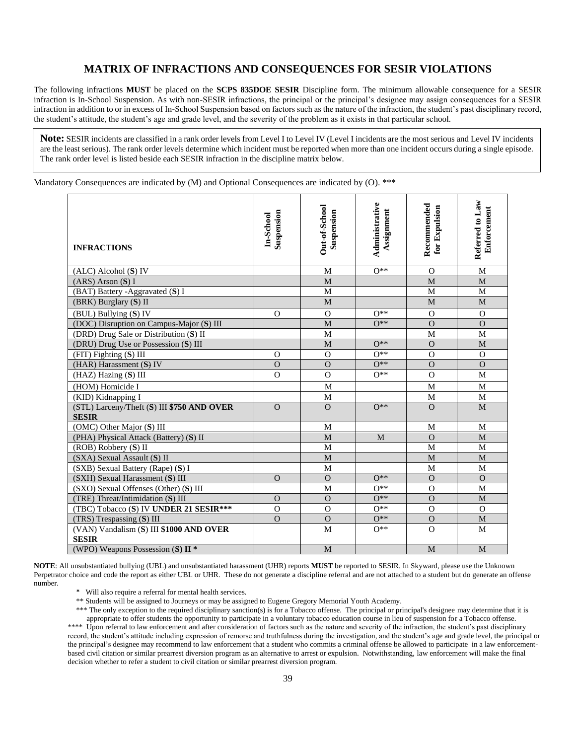## **MATRIX OF INFRACTIONS AND CONSEQUENCES FOR SESIR VIOLATIONS**

The following infractions **MUST** be placed on the **SCPS 835DOE SESIR** Discipline form. The minimum allowable consequence for a SESIR infraction is In-School Suspension. As with non-SESIR infractions, the principal or the principal's designee may assign consequences for a SESIR infraction in addition to or in excess of In-School Suspension based on factors such as the nature of the infraction, the student's past disciplinary record, the student's attitude, the student's age and grade level, and the severity of the problem as it exists in that particular school.

**Note:** SESIR incidents are classified in a rank order levels from Level I to Level IV (Level I incidents are the most serious and Level IV incidents are the least serious). The rank order levels determine which incident must be reported when more than one incident occurs during a single episode. The rank order level is listed beside each SESIR infraction in the discipline matrix below.

Mandatory Consequences are indicated by (M) and Optional Consequences are indicated by (O). \*\*\*

| <b>INFRACTIONS</b>                                         | Suspension<br>In-School | Out-of-School<br>Suspension | Administrative<br>Assignment | Recommended<br>for Expulsion | Referred to Law<br>Enforcement |
|------------------------------------------------------------|-------------------------|-----------------------------|------------------------------|------------------------------|--------------------------------|
| $(ALC)$ Alcohol $(S)$ IV                                   |                         | M                           | $0**$                        | $\Omega$                     | M                              |
| $(ARS)$ Arson $(S)$ I                                      |                         | M                           |                              | M                            | M                              |
| (BAT) Battery -Aggravated (S) I                            |                         | $\mathbf M$                 |                              | M                            | $\mathbf M$                    |
| (BRK) Burglary (S) II                                      |                         | M                           |                              | M                            | M                              |
| (BUL) Bullying (S) IV                                      | $\Omega$                | $\Omega$                    | $O**$                        | $\Omega$                     | $\Omega$                       |
| (DOC) Disruption on Campus-Major (S) III                   |                         | $\mathbf M$                 | $O**$                        | $\Omega$                     | $\Omega$                       |
| (DRD) Drug Sale or Distribution (S) II                     |                         | M                           |                              | M                            | M                              |
| (DRU) Drug Use or Possession (S) III                       |                         | M                           | $O**$                        | $\Omega$                     | M                              |
| (FIT) Fighting (S) III                                     | $\Omega$                | $\mathbf O$                 | $O**$                        | $\mathbf O$                  | $\mathbf{O}$                   |
| (HAR) Harassment (S) IV                                    | $\Omega$                | $\Omega$                    | $O**$                        | $\Omega$                     | $\Omega$                       |
| $(HAZ)$ Hazing $(S)$ III                                   | $\Omega$                | $\Omega$                    | $O**$                        | $\Omega$                     | M                              |
| (HOM) Homicide I                                           |                         | M                           |                              | M                            | M                              |
| (KID) Kidnapping I                                         |                         | M                           |                              | $\mathbf{M}$                 | M                              |
| (STL) Larceny/Theft (S) III \$750 AND OVER<br><b>SESIR</b> | $\Omega$                | $\Omega$                    | $O**$                        | $\Omega$                     | M                              |
| (OMC) Other Major (S) III                                  |                         | M                           |                              | M                            | M                              |
| (PHA) Physical Attack (Battery) (S) II                     |                         | M                           | M                            | $\Omega$                     | M                              |
| (ROB) Robbery (S) II                                       |                         | M                           |                              | M                            | M                              |
| (SXA) Sexual Assault (S) II                                |                         | M                           |                              | M                            | $\mathbf M$                    |
| (SXB) Sexual Battery (Rape) (S) I                          |                         | M                           |                              | M                            | M                              |
| (SXH) Sexual Harassment (S) III                            | $\Omega$                | $\Omega$                    | $O**$                        | $\Omega$                     | $\Omega$                       |
| (SXO) Sexual Offenses (Other) (S) III                      |                         | M                           | $0**$                        | $\Omega$                     | M                              |
| (TRE) Threat/Intimidation (S) III                          | $\Omega$                | $\Omega$                    | $O**$                        | $\Omega$                     | M                              |
| (TBC) Tobacco (S) IV UNDER 21 SESIR***                     | $\Omega$                | $\Omega$                    | $O**$                        | $\Omega$                     | $\Omega$                       |
| (TRS) Trespassing (S) III                                  | $\mathbf O$             | $\Omega$                    | $O^{**}$                     | $\mathbf O$                  | M                              |
| (VAN) Vandalism (S) III \$1000 AND OVER                    |                         | M                           | $O**$                        | $\Omega$                     | M                              |
| <b>SESIR</b>                                               |                         |                             |                              |                              |                                |
| (WPO) Weapons Possession (S) $II$ *                        |                         | M                           |                              | M                            | M                              |

**NOTE**: All unsubstantiated bullying (UBL) and unsubstantiated harassment (UHR) reports **MUST** be reported to SESIR. In Skyward, please use the Unknown Perpetrator choice and code the report as either UBL or UHR. These do not generate a discipline referral and are not attached to a student but do generate an offense number.

\* Will also require a referral for mental health services.

\*\* Students will be assigned to Journeys or may be assigned to Eugene Gregory Memorial Youth Academy.

\*\*\* The only exception to the required disciplinary sanction(s) is for a Tobacco offense. The principal or principal's designee may determine that it is appropriate to offer students the opportunity to participate in a voluntary tobacco education course in lieu of suspension for a Tobacco offense. \*\*\*\* Upon referral to law enforcement and after consideration of factors such as the nature and severity of the infraction, the student's past disciplinary record, the student's attitude including expression of remorse and truthfulness during the investigation, and the student's age and grade level, the principal or the principal's designee may recommend to law enforcement that a student who commits a criminal offense be allowed to participate in a law enforcementbased civil citation or similar prearrest diversion program as an alternative to arrest or expulsion. Notwithstanding, law enforcement will make the final decision whether to refer a student to civil citation or similar prearrest diversion program.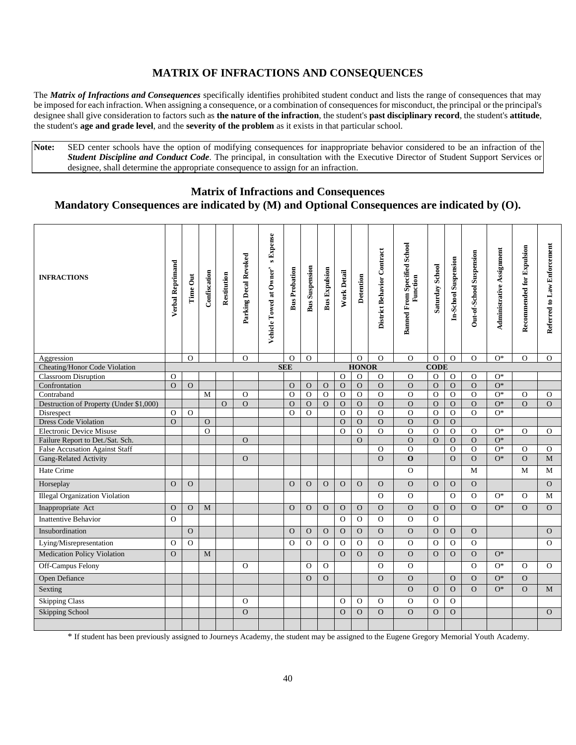# **MATRIX OF INFRACTIONS AND CONSEQUENCES**

The *Matrix of Infractions and Consequences* specifically identifies prohibited student conduct and lists the range of consequences that may be imposed for each infraction. When assigning a consequence, or a combination of consequences for misconduct, the principal or the principal's designee shall give consideration to factors such as **the nature of the infraction**, the student's **past disciplinary record**, the student's **attitude**, the student's **age and grade level**, and the **severity of the problem** as it exists in that particular school.

**Note:** SED center schools have the option of modifying consequences for inappropriate behavior considered to be an infraction of the *Student Discipline and Conduct Code*. The principal, in consultation with the Executive Director of Student Support Services or designee, shall determine the appropriate consequence to assign for an infraction.

## **Matrix of Infractions and Consequences**

# **Mandatory Consequences are indicated by (M) and Optional Consequences are indicated by (O).**

| <b>INFRACTIONS</b>                           | Verbal Reprimand           | Time Out | Confiscation | Restitution | Parking Decal Revoked | <b>s</b> Expense        | <b>Bus Probation</b> | <b>Bus Suspension</b> | <b>Bus Expulsion</b>           | <b>Work Detail</b>             | Detention                  | District Behavior Contract | <b>Banned From Specified School</b><br>Function | Saturday School      | In-School Suspension     | Out-of-School Suspension   | Administrative Assignment | Recommended for Expulsion | Referred to Law Enforcement |
|----------------------------------------------|----------------------------|----------|--------------|-------------|-----------------------|-------------------------|----------------------|-----------------------|--------------------------------|--------------------------------|----------------------------|----------------------------|-------------------------------------------------|----------------------|--------------------------|----------------------------|---------------------------|---------------------------|-----------------------------|
|                                              |                            |          |              |             |                       | Vehicle Towed at Owner' |                      |                       |                                |                                |                            |                            |                                                 |                      |                          |                            |                           |                           |                             |
| Aggression                                   |                            | $\Omega$ |              |             | $\Omega$              |                         | $\Omega$             | $\Omega$              |                                |                                | $\overline{O}$             | $\Omega$                   | $\Omega$                                        | $\Omega$             | $\Omega$                 | $\Omega$                   | $O^*$                     | $\Omega$                  | $\Omega$                    |
| Cheating/Honor Code Violation                |                            |          |              |             |                       |                         | <b>SEE</b>           |                       |                                |                                | <b>HONOR</b>               |                            |                                                 | <b>CODE</b>          |                          |                            |                           |                           |                             |
| <b>Classroom Disruption</b><br>Confrontation | $\Omega$<br>$\overline{O}$ |          |              |             |                       |                         |                      |                       |                                | $\mathbf{O}$                   | $\overline{O}$<br>$\Omega$ | $\Omega$<br>$\Omega$       | $\Omega$<br>$\overline{O}$                      | $\Omega$             | $\Omega$                 | $\Omega$<br>$\overline{O}$ | $O^*$<br>$O^*$            |                           |                             |
| Contraband                                   |                            | $\Omega$ | M            |             | $\Omega$              |                         | $\Omega$<br>$\Omega$ | $\Omega$<br>$\Omega$  | $\mathbf{O}$<br>$\overline{O}$ | $\mathbf{O}$<br>$\overline{O}$ | $\Omega$                   | $\Omega$                   | $\overline{O}$                                  | $\Omega$<br>$\Omega$ | $\Omega$<br>$\mathbf{O}$ | $\Omega$                   | $O*$                      | $\Omega$                  | $\mathbf{O}$                |
| Destruction of Property (Under \$1,000)      |                            |          |              | $\Omega$    | $\overline{O}$        |                         | $\Omega$             | $\mathbf{O}$          | $\Omega$                       | $\mathbf{O}$                   | $\mathbf{O}$               | $\Omega$                   | $\overline{O}$                                  | $\Omega$             | $\mathbf{O}$             | $\overline{O}$             | $\overline{O^*}$          | $\Omega$                  | $\Omega$                    |
| Disrespect                                   | $\Omega$                   | $\Omega$ |              |             |                       |                         | $\Omega$             | $\Omega$              |                                | $\overline{O}$                 | $\Omega$                   | $\Omega$                   | $\mathbf{O}$                                    | $\Omega$             | $\mathbf{O}$             | $\Omega$                   | $O^*$                     |                           |                             |
| <b>Dress Code Violation</b>                  | $\overline{O}$             |          | $\Omega$     |             |                       |                         |                      |                       |                                | $\mathbf{O}$                   | $\Omega$                   | $\Omega$                   | $\mathbf{O}$                                    | $\Omega$             | $\Omega$                 |                            |                           |                           |                             |
| <b>Electronic Device Misuse</b>              |                            |          | $\Omega$     |             |                       |                         |                      |                       |                                | $\Omega$                       | $\mathbf{O}$               | $\Omega$                   | $\mathbf{O}$                                    | $\mathbf O$          | $\mathbf{O}$             | $\mathbf{O}$               | $O*$                      | $\Omega$                  | $\mathbf{O}$                |
| Failure Report to Det./Sat. Sch.             |                            |          |              |             | $\Omega$              |                         |                      |                       |                                |                                | $\Omega$                   |                            | $\overline{O}$                                  | $\Omega$             | $\Omega$                 | $\Omega$                   | $O^*$                     |                           |                             |
| <b>False Accusation Against Staff</b>        |                            |          |              |             |                       |                         |                      |                       |                                |                                |                            | $\Omega$                   | $\Omega$                                        |                      | $\Omega$                 | $\Omega$                   | $O*$                      | $\Omega$                  | $\mathbf{O}$                |
| Gang-Related Activity                        |                            |          |              |             | $\mathbf{O}$          |                         |                      |                       |                                |                                |                            | $\Omega$                   | $\mathbf{o}$                                    |                      | $\Omega$                 | $\Omega$                   | $O^*$                     | $\mathbf{O}$              | $\mathbf{M}$                |
| Hate Crime                                   |                            |          |              |             |                       |                         |                      |                       |                                |                                |                            |                            | $\Omega$                                        |                      |                          | $\mathbf{M}$               |                           | M                         | $\mathbf{M}$                |
| Horseplay                                    | $\Omega$                   | $\Omega$ |              |             |                       |                         | $\Omega$             | $\mathbf{O}$          | $\Omega$                       | $\mathbf{O}$                   | $\overline{O}$             | $\Omega$                   | $\Omega$                                        | $\Omega$             | $\Omega$                 | $\Omega$                   |                           |                           | $\Omega$                    |
| <b>Illegal Organization Violation</b>        |                            |          |              |             |                       |                         |                      |                       |                                |                                |                            | $\Omega$                   | $\mathbf{O}$                                    |                      | $\mathbf{O}$             | $\mathbf{O}$               | $O*$                      | $\Omega$                  | $\mathbf M$                 |
| Inappropriate Act                            | $\mathbf{O}$               | $\Omega$ | $\mathbf{M}$ |             |                       |                         | $\Omega$             | $\mathbf{O}$          | $\mathbf{O}$                   | $\mathbf{O}$                   | $\mathbf{O}$               | $\Omega$                   | $\mathbf{O}$                                    | $\Omega$             | $\mathbf{O}$             | $\overline{O}$             | $O^*$                     | $\Omega$                  | $\Omega$                    |
| <b>Inattentive Behavior</b>                  | $\Omega$                   |          |              |             |                       |                         |                      |                       |                                | $\Omega$                       | $\mathbf{O}$               | $\Omega$                   | $\Omega$                                        | $\Omega$             |                          |                            |                           |                           |                             |
| Insubordination                              |                            | $\Omega$ |              |             |                       |                         | $\Omega$             | $\Omega$              | $\Omega$                       | $\Omega$                       | $\Omega$                   | $\Omega$                   | $\overline{O}$                                  | $\Omega$             | $\Omega$                 | $\Omega$                   |                           |                           | $\Omega$                    |
| Lying/Misrepresentation                      | $\mathbf{O}$               | $\Omega$ |              |             |                       |                         | $\Omega$             | $\mathbf{O}$          | $\Omega$                       | $\Omega$                       | $\overline{O}$             | $\Omega$                   | $\Omega$                                        | $\Omega$             | $\overline{O}$           | $\Omega$                   |                           |                           | $\Omega$                    |
| Medication Policy Violation                  | $\Omega$                   |          | M            |             |                       |                         |                      |                       |                                | $\overline{O}$                 | $\overline{O}$             | $\Omega$                   | $\overline{O}$                                  | $\Omega$             | $\Omega$                 | $\Omega$                   | $O^*$                     |                           |                             |
| Off-Campus Felony                            |                            |          |              |             | $\Omega$              |                         |                      | $\Omega$              | $\Omega$                       |                                |                            | $\Omega$                   | $\Omega$                                        |                      |                          | $\Omega$                   | $O^*$                     | $\Omega$                  | $\Omega$                    |
| Open Defiance                                |                            |          |              |             |                       |                         |                      | $\overline{O}$        | $\mathbf O$                    |                                |                            | $\Omega$                   | $\mathbf{O}$                                    |                      | $\Omega$                 | $\Omega$                   | $O*$                      | $\mathbf{O}$              |                             |
| Sexting                                      |                            |          |              |             |                       |                         |                      |                       |                                |                                |                            |                            | $\Omega$                                        | $\mathbf{O}$         | $\Omega$                 | $\Omega$                   | $O^*$                     | $\Omega$                  | $\mathbf M$                 |
| <b>Skipping Class</b>                        |                            |          |              |             | $\Omega$              |                         |                      |                       |                                | $\Omega$                       | $\Omega$                   | $\Omega$                   | $\Omega$                                        | $\Omega$             | $\Omega$                 |                            |                           |                           |                             |
| Skipping School                              |                            |          |              |             | $\mathcal{O}$         |                         |                      |                       |                                | $\Omega$                       | $\Omega$                   | $\Omega$                   | $\Omega$                                        | $\Omega$             | $\Omega$                 |                            |                           |                           | $\mathbf{O}$                |
|                                              |                            |          |              |             |                       |                         |                      |                       |                                |                                |                            |                            |                                                 |                      |                          |                            |                           |                           |                             |

\* If student has been previously assigned to Journeys Academy, the student may be assigned to the Eugene Gregory Memorial Youth Academy.